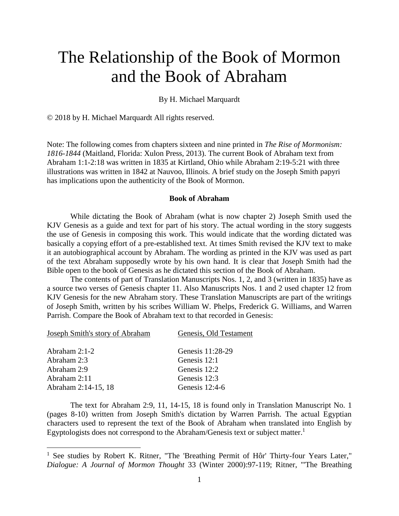# The Relationship of the Book of Mormon and the Book of Abraham

By H. Michael Marquardt

© 2018 by H. Michael Marquardt All rights reserved.

Note: The following comes from chapters sixteen and nine printed in *The Rise of Mormonism: 1816-1844* (Maitland, Florida: Xulon Press, 2013). The current Book of Abraham text from Abraham 1:1-2:18 was written in 1835 at Kirtland, Ohio while Abraham 2:19-5:21 with three illustrations was written in 1842 at Nauvoo, Illinois. A brief study on the Joseph Smith papyri has implications upon the authenticity of the Book of Mormon.

### **Book of Abraham**

While dictating the Book of Abraham (what is now chapter 2) Joseph Smith used the KJV Genesis as a guide and text for part of his story. The actual wording in the story suggests the use of Genesis in composing this work. This would indicate that the wording dictated was basically a copying effort of a pre-established text. At times Smith revised the KJV text to make it an autobiographical account by Abraham. The wording as printed in the KJV was used as part of the text Abraham supposedly wrote by his own hand. It is clear that Joseph Smith had the Bible open to the book of Genesis as he dictated this section of the Book of Abraham.

The contents of part of Translation Manuscripts Nos. 1, 2, and 3 (written in 1835) have as a source two verses of Genesis chapter 11. Also Manuscripts Nos. 1 and 2 used chapter 12 from KJV Genesis for the new Abraham story. These Translation Manuscripts are part of the writings of Joseph Smith, written by his scribes William W. Phelps, Frederick G. Williams, and Warren Parrish. Compare the Book of Abraham text to that recorded in Genesis:

| Joseph Smith's story of Abraham | Genesis, Old Testament |
|---------------------------------|------------------------|
|                                 |                        |
| Abraham $2:1-2$                 | Genesis 11:28-29       |
| Abraham 2:3                     | Genesis 12:1           |
| Abraham 2:9                     | Genesis 12:2           |
| Abraham 2:11                    | Genesis 12:3           |
| Abraham 2:14-15, 18             | Genesis $12:4-6$       |

 $\overline{a}$ 

The text for Abraham 2:9, 11, 14-15, 18 is found only in Translation Manuscript No. 1 (pages 8-10) written from Joseph Smith's dictation by Warren Parrish. The actual Egyptian characters used to represent the text of the Book of Abraham when translated into English by Egyptologists does not correspond to the Abraham/Genesis text or subject matter.<sup>1</sup>

<sup>&</sup>lt;sup>1</sup> See studies by Robert K. Ritner, "The 'Breathing Permit of Hôr' Thirty-four Years Later," *Dialogue: A Journal of Mormon Thought* 33 (Winter 2000):97-119; Ritner, "'The Breathing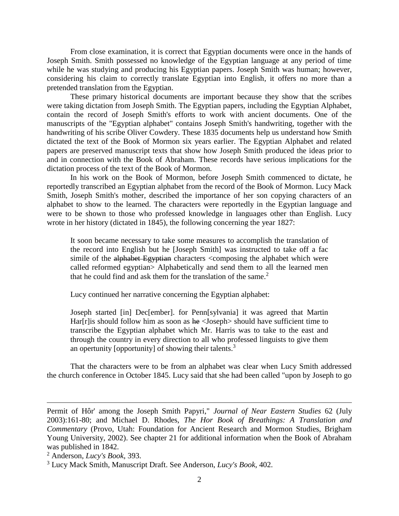From close examination, it is correct that Egyptian documents were once in the hands of Joseph Smith. Smith possessed no knowledge of the Egyptian language at any period of time while he was studying and producing his Egyptian papers. Joseph Smith was human; however, considering his claim to correctly translate Egyptian into English, it offers no more than a pretended translation from the Egyptian.

These primary historical documents are important because they show that the scribes were taking dictation from Joseph Smith. The Egyptian papers, including the Egyptian Alphabet, contain the record of Joseph Smith's efforts to work with ancient documents. One of the manuscripts of the "Egyptian alphabet" contains Joseph Smith's handwriting, together with the handwriting of his scribe Oliver Cowdery. These 1835 documents help us understand how Smith dictated the text of the Book of Mormon six years earlier. The Egyptian Alphabet and related papers are preserved manuscript texts that show how Joseph Smith produced the ideas prior to and in connection with the Book of Abraham. These records have serious implications for the dictation process of the text of the Book of Mormon.

In his work on the Book of Mormon, before Joseph Smith commenced to dictate, he reportedly transcribed an Egyptian alphabet from the record of the Book of Mormon. Lucy Mack Smith, Joseph Smith's mother, described the importance of her son copying characters of an alphabet to show to the learned. The characters were reportedly in the Egyptian language and were to be shown to those who professed knowledge in languages other than English. Lucy wrote in her history (dictated in 1845), the following concerning the year 1827:

It soon became necessary to take some measures to accomplish the translation of the record into English but he [Joseph Smith] was instructed to take off a fac simile of the alphabet Egyptian characters <composing the alphabet which were called reformed egyptian> Alphabetically and send them to all the learned men that he could find and ask them for the translation of the same. $2$ 

Lucy continued her narrative concerning the Egyptian alphabet:

Joseph started [in] Dec[ember]. for Penn[sylvania] it was agreed that Martin Har $[r]$  is should follow him as soon as  $he$  < Joseph > should have sufficient time to transcribe the Egyptian alphabet which Mr. Harris was to take to the east and through the country in every direction to all who professed linguists to give them an opertunity [opportunity] of showing their talents.<sup>3</sup>

That the characters were to be from an alphabet was clear when Lucy Smith addressed the church conference in October 1845. Lucy said that she had been called "upon by Joseph to go

Permit of Hôr' among the Joseph Smith Papyri," *Journal of Near Eastern Studies* 62 (July 2003):161-80; and Michael D. Rhodes, *The Hor Book of Breathings: A Translation and Commentary* (Provo, Utah: Foundation for Ancient Research and Mormon Studies, Brigham Young University, 2002). See chapter 21 for additional information when the Book of Abraham was published in 1842.

<sup>2</sup> Anderson, *Lucy's Book*, 393.

<sup>3</sup> Lucy Mack Smith, Manuscript Draft. See Anderson, *Lucy's Book*, 402.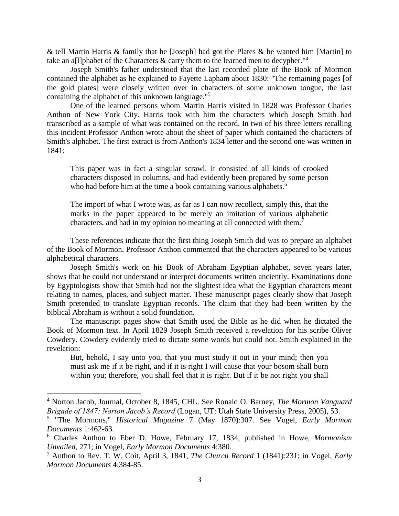& tell Martin Harris & family that he [Joseph] had got the Plates & he wanted him [Martin] to take an a[l]phabet of the Characters  $\&$  carry them to the learned men to decypher.<sup>"4</sup>

Joseph Smith's father understood that the last recorded plate of the Book of Mormon contained the alphabet as he explained to Fayette Lapham about 1830: "The remaining pages [of the gold plates] were closely written over in characters of some unknown tongue, the last containing the alphabet of this unknown language."<sup>5</sup>

One of the learned persons whom Martin Harris visited in 1828 was Professor Charles Anthon of New York City. Harris took with him the characters which Joseph Smith had transcribed as a sample of what was contained on the record. In two of his three letters recalling this incident Professor Anthon wrote about the sheet of paper which contained the characters of Smith's alphabet. The first extract is from Anthon's 1834 letter and the second one was written in 1841:

This paper was in fact a singular scrawl. It consisted of all kinds of crooked characters disposed in columns, and had evidently been prepared by some person who had before him at the time a book containing various alphabets.<sup>6</sup>

The import of what I wrote was, as far as I can now recollect, simply this, that the marks in the paper appeared to be merely an imitation of various alphabetic characters, and had in my opinion no meaning at all connected with them.<sup>7</sup>

These references indicate that the first thing Joseph Smith did was to prepare an alphabet of the Book of Mormon. Professor Anthon commented that the characters appeared to be various alphabetical characters.

Joseph Smith's work on his Book of Abraham Egyptian alphabet, seven years later, shows that he could not understand or interpret documents written anciently. Examinations done by Egyptologists show that Smith had not the slightest idea what the Egyptian characters meant relating to names, places, and subject matter. These manuscript pages clearly show that Joseph Smith pretended to translate Egyptian records. The claim that they had been written by the biblical Abraham is without a solid foundation.

The manuscript pages show that Smith used the Bible as he did when he dictated the Book of Mormon text. In April 1829 Joseph Smith received a revelation for his scribe Oliver Cowdery. Cowdery evidently tried to dictate some words but could not. Smith explained in the revelation:

But, behold, I say unto you, that you must study it out in your mind; then you must ask me if it be right, and if it is right I will cause that your bosom shall burn within you; therefore, you shall feel that it is right. But if it be not right you shall

<sup>4</sup> Norton Jacob, Journal, October 8, 1845, CHL. See Ronald O. Barney, *The Mormon Vanguard Brigade of 1847: Norton Jacob's Record* (Logan, UT: Utah State University Press, 2005), 53.

<sup>5</sup> "The Mormons," *Historical Magazine* 7 (May 1870):307. See Vogel, *Early Mormon Documents* 1:462-63.

<sup>6</sup> Charles Anthon to Eber D. Howe, February 17, 1834, published in Howe, *Mormonism Unvailed*, 271; in Vogel, *Early Mormon Documents* 4:380.

<sup>7</sup> Anthon to Rev. T. W. Coit, April 3, 1841, *The Church Record* 1 (1841):231; in Vogel, *Early Mormon Documents* 4:384-85.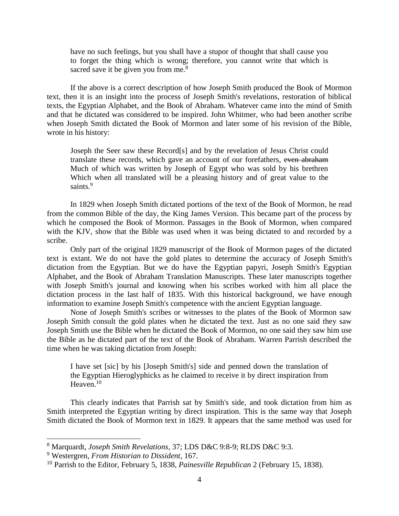have no such feelings, but you shall have a stupor of thought that shall cause you to forget the thing which is wrong; therefore, you cannot write that which is sacred save it be given you from me. $8$ 

If the above is a correct description of how Joseph Smith produced the Book of Mormon text, then it is an insight into the process of Joseph Smith's revelations, restoration of biblical texts, the Egyptian Alphabet, and the Book of Abraham. Whatever came into the mind of Smith and that he dictated was considered to be inspired. John Whitmer, who had been another scribe when Joseph Smith dictated the Book of Mormon and later some of his revision of the Bible, wrote in his history:

Joseph the Seer saw these Record[s] and by the revelation of Jesus Christ could translate these records, which gave an account of our forefathers, even abraham Much of which was written by Joseph of Egypt who was sold by his brethren Which when all translated will be a pleasing history and of great value to the saints.<sup>9</sup>

In 1829 when Joseph Smith dictated portions of the text of the Book of Mormon, he read from the common Bible of the day, the King James Version. This became part of the process by which he composed the Book of Mormon. Passages in the Book of Mormon, when compared with the KJV, show that the Bible was used when it was being dictated to and recorded by a scribe.

Only part of the original 1829 manuscript of the Book of Mormon pages of the dictated text is extant. We do not have the gold plates to determine the accuracy of Joseph Smith's dictation from the Egyptian. But we do have the Egyptian papyri, Joseph Smith's Egyptian Alphabet, and the Book of Abraham Translation Manuscripts. These later manuscripts together with Joseph Smith's journal and knowing when his scribes worked with him all place the dictation process in the last half of 1835. With this historical background, we have enough information to examine Joseph Smith's competence with the ancient Egyptian language.

None of Joseph Smith's scribes or witnesses to the plates of the Book of Mormon saw Joseph Smith consult the gold plates when he dictated the text. Just as no one said they saw Joseph Smith use the Bible when he dictated the Book of Mormon, no one said they saw him use the Bible as he dictated part of the text of the Book of Abraham. Warren Parrish described the time when he was taking dictation from Joseph:

I have set [sic] by his [Joseph Smith's] side and penned down the translation of the Egyptian Hieroglyphicks as he claimed to receive it by direct inspiration from Heaven. $10$ 

This clearly indicates that Parrish sat by Smith's side, and took dictation from him as Smith interpreted the Egyptian writing by direct inspiration. This is the same way that Joseph Smith dictated the Book of Mormon text in 1829. It appears that the same method was used for

l

<sup>8</sup> Marquardt, *Joseph Smith Revelations*, 37; LDS D&C 9:8-9; RLDS D&C 9:3.

<sup>9</sup> Westergren*, From Historian to Dissident*, 167.

<sup>10</sup> Parrish to the Editor, February 5, 1838, *Painesville Republican* 2 (February 15, 1838).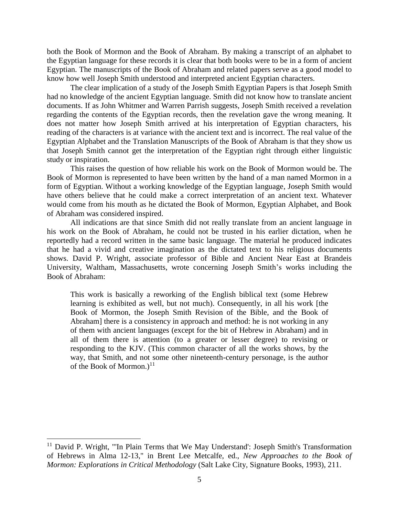both the Book of Mormon and the Book of Abraham. By making a transcript of an alphabet to the Egyptian language for these records it is clear that both books were to be in a form of ancient Egyptian. The manuscripts of the Book of Abraham and related papers serve as a good model to know how well Joseph Smith understood and interpreted ancient Egyptian characters.

The clear implication of a study of the Joseph Smith Egyptian Papers is that Joseph Smith had no knowledge of the ancient Egyptian language. Smith did not know how to translate ancient documents. If as John Whitmer and Warren Parrish suggests, Joseph Smith received a revelation regarding the contents of the Egyptian records, then the revelation gave the wrong meaning. It does not matter how Joseph Smith arrived at his interpretation of Egyptian characters, his reading of the characters is at variance with the ancient text and is incorrect. The real value of the Egyptian Alphabet and the Translation Manuscripts of the Book of Abraham is that they show us that Joseph Smith cannot get the interpretation of the Egyptian right through either linguistic study or inspiration.

This raises the question of how reliable his work on the Book of Mormon would be. The Book of Mormon is represented to have been written by the hand of a man named Mormon in a form of Egyptian. Without a working knowledge of the Egyptian language, Joseph Smith would have others believe that he could make a correct interpretation of an ancient text. Whatever would come from his mouth as he dictated the Book of Mormon, Egyptian Alphabet, and Book of Abraham was considered inspired.

All indications are that since Smith did not really translate from an ancient language in his work on the Book of Abraham, he could not be trusted in his earlier dictation, when he reportedly had a record written in the same basic language. The material he produced indicates that he had a vivid and creative imagination as the dictated text to his religious documents shows. David P. Wright, associate professor of Bible and Ancient Near East at Brandeis University, Waltham, Massachusetts, wrote concerning Joseph Smith's works including the Book of Abraham:

This work is basically a reworking of the English biblical text (some Hebrew learning is exhibited as well, but not much). Consequently, in all his work [the Book of Mormon, the Joseph Smith Revision of the Bible, and the Book of Abraham] there is a consistency in approach and method: he is not working in any of them with ancient languages (except for the bit of Hebrew in Abraham) and in all of them there is attention (to a greater or lesser degree) to revising or responding to the KJV. (This common character of all the works shows, by the way, that Smith, and not some other nineteenth-century personage, is the author of the Book of Mormon.)<sup>11</sup>

l

<sup>&</sup>lt;sup>11</sup> David P. Wright, "'In Plain Terms that We May Understand': Joseph Smith's Transformation of Hebrews in Alma 12-13," in Brent Lee Metcalfe, ed., *New Approaches to the Book of Mormon: Explorations in Critical Methodology* (Salt Lake City, Signature Books, 1993), 211.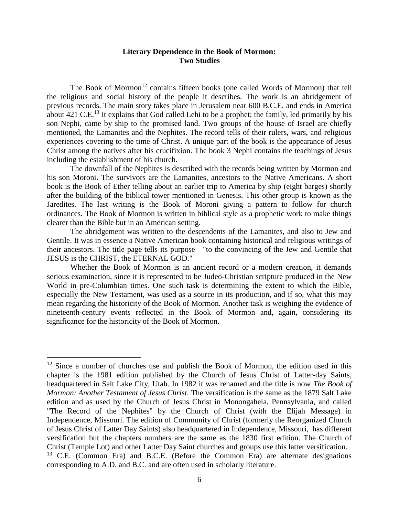## **Literary Dependence in the Book of Mormon: Two Studies**

The Book of Mormon<sup>12</sup> contains fifteen books (one called Words of Mormon) that tell the religious and social history of the people it describes. The work is an abridgement of previous records. The main story takes place in Jerusalem near 600 B.C.E. and ends in America about 421 C.E.<sup>13</sup> It explains that God called Lehi to be a prophet; the family, led primarily by his son Nephi, came by ship to the promised land. Two groups of the house of Israel are chiefly mentioned, the Lamanites and the Nephites. The record tells of their rulers, wars, and religious experiences covering to the time of Christ. A unique part of the book is the appearance of Jesus Christ among the natives after his crucifixion. The book 3 Nephi contains the teachings of Jesus including the establishment of his church.

The downfall of the Nephites is described with the records being written by Mormon and his son Moroni. The survivors are the Lamanites, ancestors to the Native Americans. A short book is the Book of Ether telling about an earlier trip to America by ship (eight barges) shortly after the building of the biblical tower mentioned in Genesis. This other group is known as the Jaredites. The last writing is the Book of Moroni giving a pattern to follow for church ordinances. The Book of Mormon is written in biblical style as a prophetic work to make things clearer than the Bible but in an American setting.

The abridgement was written to the descendents of the Lamanites, and also to Jew and Gentile. It was in essence a Native American book containing historical and religious writings of their ancestors. The title page tells its purpose—"to the convincing of the Jew and Gentile that JESUS is the CHRIST, the ETERNAL GOD."

Whether the Book of Mormon is an ancient record or a modern creation, it demands serious examination, since it is represented to be Judeo-Christian scripture produced in the New World in pre-Columbian times. One such task is determining the extent to which the Bible, especially the New Testament, was used as a source in its production, and if so, what this may mean regarding the historicity of the Book of Mormon. Another task is weighing the evidence of nineteenth-century events reflected in the Book of Mormon and, again, considering its significance for the historicity of the Book of Mormon.

 $12$  Since a number of churches use and publish the Book of Mormon, the edition used in this chapter is the 1981 edition published by the Church of Jesus Christ of Latter-day Saints, headquartered in Salt Lake City, Utah. In 1982 it was renamed and the title is now *The Book of Mormon: Another Testament of Jesus Christ*. The versification is the same as the 1879 Salt Lake edition and as used by the Church of Jesus Christ in Monongahela, Pennsylvania, and called "The Record of the Nephites" by the Church of Christ (with the Elijah Message) in Independence, Missouri. The edition of Community of Christ (formerly the Reorganized Church of Jesus Christ of Latter Day Saints) also headquartered in Independence, Missouri, has different versification but the chapters numbers are the same as the 1830 first edition. The Church of Christ (Temple Lot) and other Latter Day Saint churches and groups use this latter versification. <sup>13</sup> C.E. (Common Era) and B.C.E. (Before the Common Era) are alternate designations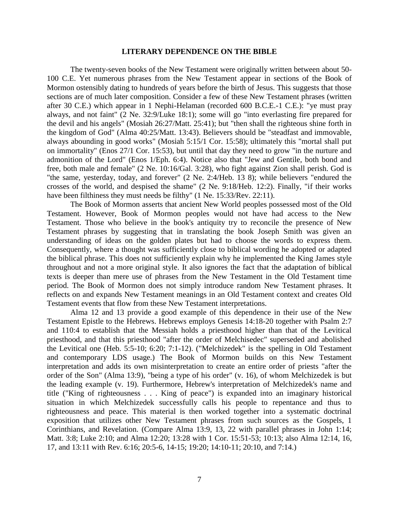#### **LITERARY DEPENDENCE ON THE BIBLE**

The twenty-seven books of the New Testament were originally written between about 50- 100 C.E. Yet numerous phrases from the New Testament appear in sections of the Book of Mormon ostensibly dating to hundreds of years before the birth of Jesus. This suggests that those sections are of much later composition. Consider a few of these New Testament phrases (written after 30 C.E.) which appear in 1 Nephi-Helaman (recorded 600 B.C.E.-1 C.E.): "ye must pray always, and not faint" (2 Ne. 32:9/Luke 18:1); some will go "into everlasting fire prepared for the devil and his angels" (Mosiah 26:27/Matt. 25:41); but "then shall the righteous shine forth in the kingdom of God" (Alma 40:25/Matt. 13:43). Believers should be "steadfast and immovable, always abounding in good works" (Mosiah 5:15/1 Cor. 15:58); ultimately this "mortal shall put on immortality" (Enos 27/1 Cor. 15:53), but until that day they need to grow "in the nurture and admonition of the Lord" (Enos 1/Eph. 6:4). Notice also that "Jew and Gentile, both bond and free, both male and female" (2 Ne. 10:16/Gal. 3:28), who fight against Zion shall perish. God is "the same, yesterday, today, and forever" (2 Ne. 2:4/Heb. 13 8); while believers "endured the crosses of the world, and despised the shame" (2 Ne. 9:18/Heb. 12:2). Finally, "if their works have been filthiness they must needs be filthy" (1 Ne. 15:33/Rev. 22:11).

The Book of Mormon asserts that ancient New World peoples possessed most of the Old Testament. However, Book of Mormon peoples would not have had access to the New Testament. Those who believe in the book's antiquity try to reconcile the presence of New Testament phrases by suggesting that in translating the book Joseph Smith was given an understanding of ideas on the golden plates but had to choose the words to express them. Consequently, where a thought was sufficiently close to biblical wording he adopted or adapted the biblical phrase. This does not sufficiently explain why he implemented the King James style throughout and not a more original style. It also ignores the fact that the adaptation of biblical texts is deeper than mere use of phrases from the New Testament in the Old Testament time period. The Book of Mormon does not simply introduce random New Testament phrases. It reflects on and expands New Testament meanings in an Old Testament context and creates Old Testament events that flow from these New Testament interpretations.

Alma 12 and 13 provide a good example of this dependence in their use of the New Testament Epistle to the Hebrews. Hebrews employs Genesis 14:18-20 together with Psalm 2:7 and 110:4 to establish that the Messiah holds a priesthood higher than that of the Levitical priesthood, and that this priesthood "after the order of Melchisedec" superseded and abolished the Levitical one (Heb. 5:5-10; 6:20; 7:1-12). ("Melchizedek" is the spelling in Old Testament and contemporary LDS usage.) The Book of Mormon builds on this New Testament interpretation and adds its own misinterpretation to create an entire order of priests "after the order of the Son" (Alma 13:9), "being a type of his order" (v. 16), of whom Melchizedek is but the leading example (v. 19). Furthermore, Hebrew's interpretation of Melchizedek's name and title ("King of righteousness . . . King of peace") is expanded into an imaginary historical situation in which Melchizedek successfully calls his people to repentance and thus to righteousness and peace. This material is then worked together into a systematic doctrinal exposition that utilizes other New Testament phrases from such sources as the Gospels, 1 Corinthians, and Revelation. (Compare Alma 13:9, 13, 22 with parallel phrases in John 1:14; Matt. 3:8; Luke 2:10; and Alma 12:20; 13:28 with 1 Cor. 15:51-53; 10:13; also Alma 12:14, 16, 17, and 13:11 with Rev. 6:16; 20:5-6, 14-15; 19:20; 14:10-11; 20:10, and 7:14.)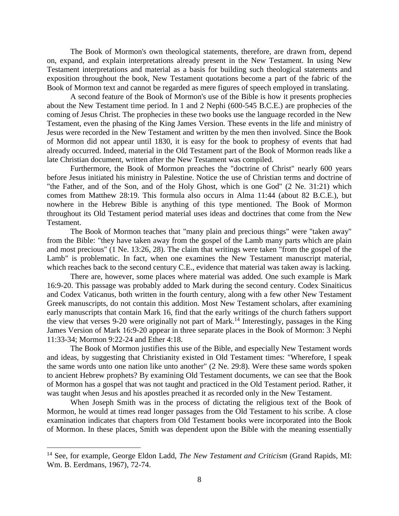The Book of Mormon's own theological statements, therefore, are drawn from, depend on, expand, and explain interpretations already present in the New Testament. In using New Testament interpretations and material as a basis for building such theological statements and exposition throughout the book, New Testament quotations become a part of the fabric of the Book of Mormon text and cannot be regarded as mere figures of speech employed in translating.

A second feature of the Book of Mormon's use of the Bible is how it presents prophecies about the New Testament time period. In 1 and 2 Nephi (600-545 B.C.E.) are prophecies of the coming of Jesus Christ. The prophecies in these two books use the language recorded in the New Testament, even the phasing of the King James Version. These events in the life and ministry of Jesus were recorded in the New Testament and written by the men then involved. Since the Book of Mormon did not appear until 1830, it is easy for the book to prophesy of events that had already occurred. Indeed, material in the Old Testament part of the Book of Mormon reads like a late Christian document, written after the New Testament was compiled.

Furthermore, the Book of Mormon preaches the "doctrine of Christ" nearly 600 years before Jesus initiated his ministry in Palestine. Notice the use of Christian terms and doctrine of "the Father, and of the Son, and of the Holy Ghost, which is one God" (2 Ne. 31:21) which comes from Matthew 28:19. This formula also occurs in Alma 11:44 (about 82 B.C.E.), but nowhere in the Hebrew Bible is anything of this type mentioned. The Book of Mormon throughout its Old Testament period material uses ideas and doctrines that come from the New Testament.

The Book of Mormon teaches that "many plain and precious things" were "taken away" from the Bible: "they have taken away from the gospel of the Lamb many parts which are plain and most precious" (1 Ne. 13:26, 28). The claim that writings were taken "from the gospel of the Lamb" is problematic. In fact, when one examines the New Testament manuscript material, which reaches back to the second century C.E., evidence that material was taken away is lacking.

There are, however, some places where material was added. One such example is Mark 16:9-20. This passage was probably added to Mark during the second century. Codex Sinaiticus and Codex Vaticanus, both written in the fourth century, along with a few other New Testament Greek manuscripts, do not contain this addition. Most New Testament scholars, after examining early manuscripts that contain Mark 16, find that the early writings of the church fathers support the view that verses 9-20 were originally not part of Mark.<sup>14</sup> Interestingly, passages in the King James Version of Mark 16:9-20 appear in three separate places in the Book of Mormon: 3 Nephi 11:33-34; Mormon 9:22-24 and Ether 4:18.

The Book of Mormon justifies this use of the Bible, and especially New Testament words and ideas, by suggesting that Christianity existed in Old Testament times: "Wherefore, I speak the same words unto one nation like unto another" (2 Ne. 29:8). Were these same words spoken to ancient Hebrew prophets? By examining Old Testament documents, we can see that the Book of Mormon has a gospel that was not taught and practiced in the Old Testament period. Rather, it was taught when Jesus and his apostles preached it as recorded only in the New Testament.

When Joseph Smith was in the process of dictating the religious text of the Book of Mormon, he would at times read longer passages from the Old Testament to his scribe. A close examination indicates that chapters from Old Testament books were incorporated into the Book of Mormon. In these places, Smith was dependent upon the Bible with the meaning essentially

<sup>14</sup> See, for example, George Eldon Ladd, *The New Testament and Criticism* (Grand Rapids, MI: Wm. B. Eerdmans, 1967), 72-74.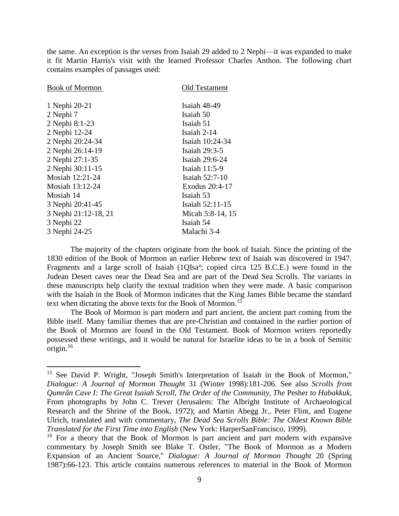the same. An exception is the verses from Isaiah 29 added to 2 Nephi—it was expanded to make it fit Martin Harris's visit with the learned Professor Charles Anthon. The following chart contains examples of passages used:

| <b>Book of Mormon</b> | Old Testament    |
|-----------------------|------------------|
| 1 Nephi 20-21         | Isaiah 48-49     |
| 2 Nephi 7             | Isaiah 50        |
| 2 Nephi 8:1-23        | Isaiah 51        |
| 2 Nephi 12-24         | Isaiah 2-14      |
| 2 Nephi 20:24-34      | Isaiah 10:24-34  |
| 2 Nephi 26:14-19      | Isaiah 29:3-5    |
| 2 Nephi 27:1-35       | Isaiah 29:6-24   |
| 2 Nephi 30:11-15      | Isaiah $11:5-9$  |
| Mosiah 12:21-24       | Isaiah 52:7-10   |
| Mosiah 13:12-24       | Exodus 20:4-17   |
| Mosiah 14             | Isaiah 53        |
| 3 Nephi 20:41-45      | Isaiah 52:11-15  |
| 3 Nephi 21:12-18, 21  | Micah 5:8-14, 15 |
| 3 Nephi 22            | Isaiah 54        |
| 3 Nephi 24-25         | Malachi 3-4      |
|                       |                  |

 $\overline{\phantom{a}}$ 

The majority of the chapters originate from the book of Isaiah. Since the printing of the 1830 edition of the Book of Mormon an earlier Hebrew text of Isaiah was discovered in 1947. Fragments and a large scroll of Isaiah (1QIsa<sup>a</sup>; copied circa 125 B.C.E.) were found in the Judean Desert caves near the Dead Sea and are part of the Dead Sea Scrolls. The variants in these manuscripts help clarify the textual tradition when they were made. A basic comparison with the Isaiah in the Book of Mormon indicates that the King James Bible became the standard text when dictating the above texts for the Book of Mormon.<sup>15</sup>

The Book of Mormon is part modern and part ancient, the ancient part coming from the Bible itself. Many familiar themes that are pre-Christian and contained in the earlier portion of the Book of Mormon are found in the Old Testament. Book of Mormon writers reportedly possessed these writings, and it would be natural for Israelite ideas to be in a book of Semitic origin. $16$ 

<sup>&</sup>lt;sup>15</sup> See David P. Wright, "Joseph Smith's Interpretation of Isaiah in the Book of Mormon," *Dialogue: A Journal of Mormon Though*t 31 (Winter 1998):181-206. See also *Scrolls from Qumrân Cave I: The Great Isaiah Scroll, The Order of the Community, The Pesher to Habakkuk,* From photographs by John C. Trever (Jerusalem: The Albright Institute of Archaeological Research and the Shrine of the Book, 1972); and Martin Abegg Jr., Peter Flint, and Eugene Ulrich, translated and with commentary, *The Dead Sea Scrolls Bible: The Oldest Known Bible Translated for the First Time into English* (New York: HarperSanFrancisco, 1999).

<sup>&</sup>lt;sup>16</sup> For a theory that the Book of Mormon is part ancient and part modern with expansive commentary by Joseph Smith see Blake T. Ostler, "The Book of Mormon as a Modern Expansion of an Ancient Source," *Dialogue: A Journal of Mormon Thought* 20 (Spring 1987):66-123. This article contains numerous references to material in the Book of Mormon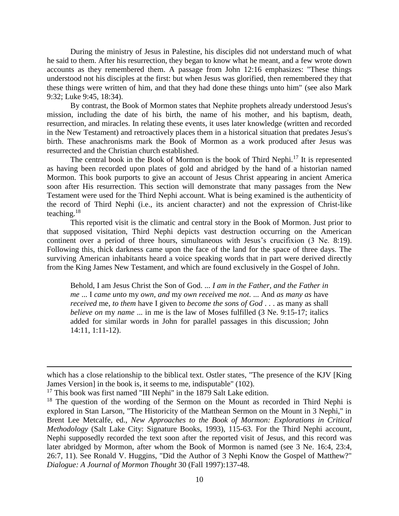During the ministry of Jesus in Palestine, his disciples did not understand much of what he said to them. After his resurrection, they began to know what he meant, and a few wrote down accounts as they remembered them. A passage from John 12:16 emphasizes: "These things understood not his disciples at the first: but when Jesus was glorified, then remembered they that these things were written of him, and that they had done these things unto him" (see also Mark 9:32; Luke 9:45, 18:34).

By contrast, the Book of Mormon states that Nephite prophets already understood Jesus's mission, including the date of his birth, the name of his mother, and his baptism, death, resurrection, and miracles. In relating these events, it uses later knowledge (written and recorded in the New Testament) and retroactively places them in a historical situation that predates Jesus's birth. These anachronisms mark the Book of Mormon as a work produced after Jesus was resurrected and the Christian church established.

The central book in the Book of Mormon is the book of Third Nephi.<sup>17</sup> It is represented as having been recorded upon plates of gold and abridged by the hand of a historian named Mormon. This book purports to give an account of Jesus Christ appearing in ancient America soon after His resurrection. This section will demonstrate that many passages from the New Testament were used for the Third Nephi account. What is being examined is the authenticity of the record of Third Nephi (i.e., its ancient character) and not the expression of Christ-like teaching.<sup>18</sup>

This reported visit is the climatic and central story in the Book of Mormon. Just prior to that supposed visitation, Third Nephi depicts vast destruction occurring on the American continent over a period of three hours, simultaneous with Jesus's crucifixion (3 Ne. 8:19). Following this, thick darkness came upon the face of the land for the space of three days. The surviving American inhabitants heard a voice speaking words that in part were derived directly from the King James New Testament, and which are found exclusively in the Gospel of John.

Behold, I am Jesus Christ the Son of God. ... *I am in the Father, and the Father in me* ... I *came unto* my *own*, *and* my *own received* me *not*. ... And *as many as* have *received* me, *to them* have I given to *become the sons of God* . . . as many as shall *believe on* my *name* ... in me is the law of Moses fulfilled (3 Ne. 9:15-17; italics added for similar words in John for parallel passages in this discussion; John 14:11, 1:11-12).

which has a close relationship to the biblical text. Ostler states, "The presence of the KJV [King James Version] in the book is, it seems to me, indisputable" (102).

<sup>&</sup>lt;sup>17</sup> This book was first named "III Nephi" in the 1879 Salt Lake edition.

 $18$  The question of the wording of the Sermon on the Mount as recorded in Third Nephi is explored in Stan Larson, "The Historicity of the Matthean Sermon on the Mount in 3 Nephi," in Brent Lee Metcalfe, ed., *New Approaches to the Book of Mormon: Explorations in Critical Methodology* (Salt Lake City: Signature Books, 1993), 115-63. For the Third Nephi account, Nephi supposedly recorded the text soon after the reported visit of Jesus, and this record was later abridged by Mormon, after whom the Book of Mormon is named (see 3 Ne. 16:4, 23:4, 26:7, 11). See Ronald V. Huggins, "Did the Author of 3 Nephi Know the Gospel of Matthew?" *Dialogue: A Journal of Mormon Thought* 30 (Fall 1997):137-48.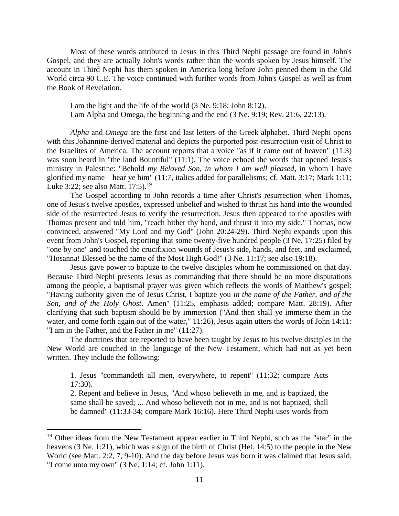Most of these words attributed to Jesus in this Third Nephi passage are found in John's Gospel, and they are actually John's words rather than the words spoken by Jesus himself. The account in Third Nephi has them spoken in America long before John penned them in the Old World circa 90 C.E. The voice continued with further words from John's Gospel as well as from the Book of Revelation.

I am the light and the life of the world (3 Ne. 9:18; John 8:12). I am Alpha and Omega, the beginning and the end (3 Ne. 9:19; Rev. 21:6, 22:13).

*Alpha* and *Omega* are the first and last letters of the Greek alphabet. Third Nephi opens with this Johannine-derived material and depicts the purported post-resurrection visit of Christ to the Israelites of America. The account reports that a voice "as if it came out of heaven" (11:3) was soon heard in "the land Bountiful" (11:1). The voice echoed the words that opened Jesus's ministry in Palestine: "Behold *my Beloved Son, in whom I am well pleased*, in whom I have glorified my name—hear ye him" (11:7, italics added for parallelisms; cf. Matt. 3:17; Mark 1:11; Luke 3:22; see also Matt.  $17:5$ .<sup>19</sup>

The Gospel according to John records a time after Christ's resurrection when Thomas, one of Jesus's twelve apostles, expressed unbelief and wished to thrust his hand into the wounded side of the resurrected Jesus to verify the resurrection. Jesus then appeared to the apostles with Thomas present and told him, "reach hither thy hand, and thrust it into my side." Thomas, now convinced, answered "My Lord and my God" (John 20:24-29). Third Nephi expands upon this event from John's Gospel, reporting that some twenty-five hundred people (3 Ne. 17:25) filed by "one by one" and touched the crucifixion wounds of Jesus's side, hands, and feet, and exclaimed, "Hosanna! Blessed be the name of the Most High God!" (3 Ne. 11:17; see also 19:18).

Jesus gave power to baptize to the twelve disciples whom he commissioned on that day. Because Third Nephi presents Jesus as commanding that there should be no more disputations among the people, a baptismal prayer was given which reflects the words of Matthew's gospel: "Having authority given me of Jesus Christ, I baptize you *in the name of the Father, and of the Son, and of the Holy Ghost*. Amen" (11:25, emphasis added; compare Matt. 28:19). After clarifying that such baptism should be by immersion ("And then shall ye immerse them in the water, and come forth again out of the water," 11:26), Jesus again utters the words of John 14:11: "I am in the Father, and the Father in me" (11:27).

The doctrines that are reported to have been taught by Jesus to his twelve disciples in the New World are couched in the language of the New Testament, which had not as yet been written. They include the following:

1. Jesus "commandeth all men, everywhere, to repent" (11:32; compare Acts 17:30).

2. Repent and believe in Jesus, "And whoso believeth in me, and is baptized, the same shall be saved; ... And whoso believeth not in me, and is not baptized, shall be damned" (11:33-34; compare Mark 16:16). Here Third Nephi uses words from

<sup>&</sup>lt;sup>19</sup> Other ideas from the New Testament appear earlier in Third Nephi, such as the "star" in the heavens (3 Ne. 1:21), which was a sign of the birth of Christ (Hel. 14:5) to the people in the New World (see Matt. 2:2, 7, 9-10). And the day before Jesus was born it was claimed that Jesus said, "I come unto my own" (3 Ne. 1:14; cf. John 1:11).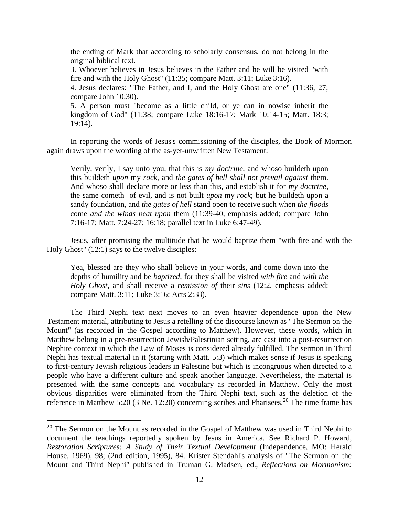the ending of Mark that according to scholarly consensus, do not belong in the original biblical text.

3. Whoever believes in Jesus believes in the Father and he will be visited "with fire and with the Holy Ghost" (11:35; compare Matt. 3:11; Luke 3:16).

4. Jesus declares: "The Father, and I, and the Holy Ghost are one" (11:36, 27; compare John 10:30).

5. A person must "become as a little child, or ye can in nowise inherit the kingdom of God" (11:38; compare Luke 18:16-17; Mark 10:14-15; Matt. 18:3; 19:14).

In reporting the words of Jesus's commissioning of the disciples, the Book of Mormon again draws upon the wording of the as-yet-unwritten New Testament:

Verily, verily, I say unto you, that this is *my doctrine*, and whoso buildeth upon this buildeth *upon* my *rock*, and *the gates of hell shall not prevail against* them. And whoso shall declare more or less than this, and establish it for *my doctrine*, the same cometh of evil, and is not built *upon* my *rock*; but he buildeth upon a sandy foundation, and *the gates of hell* stand open to receive such when *the floods* come *and the winds beat upon* them (11:39-40, emphasis added; compare John 7:16-17; Matt. 7:24-27; 16:18; parallel text in Luke 6:47-49).

Jesus, after promising the multitude that he would baptize them "with fire and with the Holy Ghost" (12:1) says to the twelve disciples:

Yea, blessed are they who shall believe in your words, and come down into the depths of humility and be *baptized*, for they shall be visited *with fire* and *with the Holy Ghost*, and shall receive a *remission of* their *sins* (12:2, emphasis added; compare Matt. 3:11; Luke 3:16; Acts 2:38).

The Third Nephi text next moves to an even heavier dependence upon the New Testament material, attributing to Jesus a retelling of the discourse known as "The Sermon on the Mount" (as recorded in the Gospel according to Matthew). However, these words, which in Matthew belong in a pre-resurrection Jewish/Palestinian setting, are cast into a post-resurrection Nephite context in which the Law of Moses is considered already fulfilled. The sermon in Third Nephi has textual material in it (starting with Matt. 5:3) which makes sense if Jesus is speaking to first-century Jewish religious leaders in Palestine but which is incongruous when directed to a people who have a different culture and speak another language. Nevertheless, the material is presented with the same concepts and vocabulary as recorded in Matthew. Only the most obvious disparities were eliminated from the Third Nephi text, such as the deletion of the reference in Matthew 5:20 (3 Ne. 12:20) concerning scribes and Pharisees.<sup>20</sup> The time frame has

<sup>&</sup>lt;sup>20</sup> The Sermon on the Mount as recorded in the Gospel of Matthew was used in Third Nephi to document the teachings reportedly spoken by Jesus in America. See Richard P. Howard, *Restoration Scriptures: A Study of Their Textual Development* (Independence, MO: Herald House, 1969), 98; (2nd edition, 1995), 84. Krister Stendahl's analysis of "The Sermon on the Mount and Third Nephi" published in Truman G. Madsen, ed., *Reflections on Mormonism:*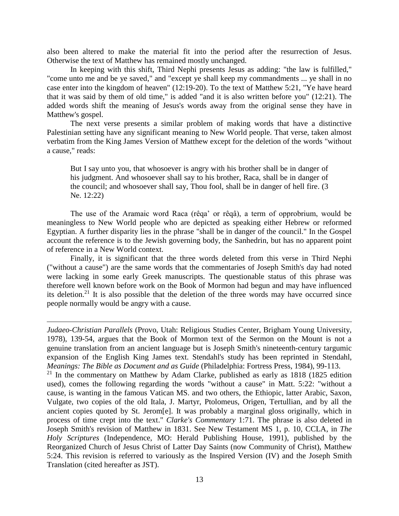also been altered to make the material fit into the period after the resurrection of Jesus. Otherwise the text of Matthew has remained mostly unchanged.

In keeping with this shift, Third Nephi presents Jesus as adding: "the law is fulfilled," "come unto me and be ye saved," and "except ye shall keep my commandments ... ye shall in no case enter into the kingdom of heaven" (12:19-20). To the text of Matthew 5:21, "Ye have heard that it was said by them of old time," is added "and it is also written before you" (12:21). The added words shift the meaning of Jesus's words away from the original sense they have in Matthew's gospel.

The next verse presents a similar problem of making words that have a distinctive Palestinian setting have any significant meaning to New World people. That verse, taken almost verbatim from the King James Version of Matthew except for the deletion of the words "without a cause," reads:

But I say unto you, that whosoever is angry with his brother shall be in danger of his judgment. And whosoever shall say to his brother, Raca, shall be in danger of the council; and whosoever shall say, Thou fool, shall be in danger of hell fire. (3 Ne. 12:22)

The use of the Aramaic word Raca (rêqa' or rêqâ), a term of opprobrium, would be meaningless to New World people who are depicted as speaking either Hebrew or reformed Egyptian. A further disparity lies in the phrase "shall be in danger of the council." In the Gospel account the reference is to the Jewish governing body, the Sanhedrin, but has no apparent point of reference in a New World context.

Finally, it is significant that the three words deleted from this verse in Third Nephi ("without a cause") are the same words that the commentaries of Joseph Smith's day had noted were lacking in some early Greek manuscripts. The questionable status of this phrase was therefore well known before work on the Book of Mormon had begun and may have influenced its deletion.<sup>21</sup> It is also possible that the deletion of the three words may have occurred since people normally would be angry with a cause.

 $\overline{\phantom{a}}$ 

 $21$  In the commentary on Matthew by Adam Clarke, published as early as 1818 (1825 edition used), comes the following regarding the words "without a cause" in Matt. 5:22: "without a cause, is wanting in the famous Vatican MS. and two others, the Ethiopic, latter Arabic, Saxon, Vulgate, two copies of the old Itala, J. Martyr, Ptolomeus, Origen, Tertullian, and by all the ancient copies quoted by St. Jerom[e]. It was probably a marginal gloss originally, which in process of time crept into the text." *Clarke's Commentary* 1:71. The phrase is also deleted in Joseph Smith's revision of Matthew in 1831. See New Testament MS 1, p. 10, CCLA, in *The Holy Scriptures* (Independence, MO: Herald Publishing House, 1991), published by the Reorganized Church of Jesus Christ of Latter Day Saints (now Community of Christ), Matthew 5:24. This revision is referred to variously as the Inspired Version (IV) and the Joseph Smith Translation (cited hereafter as JST).

*Judaeo-Christian Parallels* (Provo, Utah: Religious Studies Center, Brigham Young University, 1978), 139-54, argues that the Book of Mormon text of the Sermon on the Mount is not a genuine translation from an ancient language but is Joseph Smith's nineteenth-century targumic expansion of the English King James text. Stendahl's study has been reprinted in Stendahl, *Meanings: The Bible as Document and as Guide* (Philadelphia: Fortress Press, 1984), 99-113.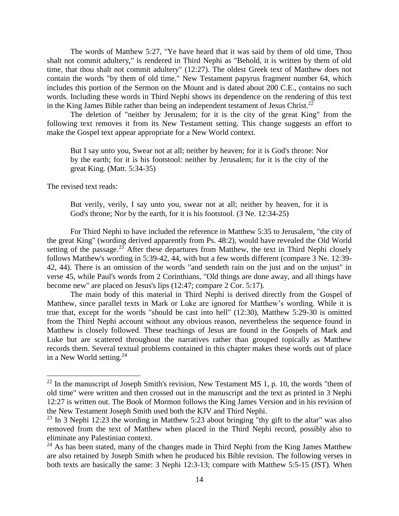The words of Matthew 5:27, "Ye have heard that it was said by them of old time, Thou shalt not commit adultery," is rendered in Third Nephi as "Behold, it is written by them of old time, that thou shalt not commit adultery" (12:27). The oldest Greek text of Matthew does not contain the words "by them of old time." New Testament papyrus fragment number 64, which includes this portion of the Sermon on the Mount and is dated about 200 C.E., contains no such words. Including these words in Third Nephi shows its dependence on the rendering of this text in the King James Bible rather than being an independent testament of Jesus Christ.<sup>22</sup>

The deletion of "neither by Jerusalem; for it is the city of the great King" from the following text removes it from its New Testament setting. This change suggests an effort to make the Gospel text appear appropriate for a New World context.

But I say unto you, Swear not at all; neither by heaven; for it is God's throne: Nor by the earth; for it is his footstool: neither by Jerusalem; for it is the city of the great King. (Matt. 5:34-35)

The revised text reads:

 $\overline{\phantom{a}}$ 

But verily, verily, I say unto you, swear not at all; neither by heaven, for it is God's throne; Nor by the earth, for it is his footstool. (3 Ne. 12:34-25)

For Third Nephi to have included the reference in Matthew 5:35 to Jerusalem, "the city of the great King" (wording derived apparently from Ps. 48:2), would have revealed the Old World setting of the passage.<sup>23</sup> After these departures from Matthew, the text in Third Nephi closely follows Matthew's wording in 5:39-42, 44, with but a few words different (compare 3 Ne. 12:39- 42, 44). There is an omission of the words "and sendeth rain on the just and on the unjust" in verse 45, while Paul's words from 2 Corinthians, "Old things are done away, and all things have become new" are placed on Jesus's lips (12:47; compare 2 Cor. 5:17).

The main body of this material in Third Nephi is derived directly from the Gospel of Matthew, since parallel texts in Mark or Luke are ignored for Matthew's wording. While it is true that, except for the words "should be cast into hell" (12:30), Matthew 5:29-30 is omitted from the Third Nephi account without any obvious reason, nevertheless the sequence found in Matthew is closely followed. These teachings of Jesus are found in the Gospels of Mark and Luke but are scattered throughout the narratives rather than grouped topically as Matthew records them. Several textual problems contained in this chapter makes these words out of place in a New World setting. $24$ 

 $^{22}$  In the manuscript of Joseph Smith's revision, New Testament MS 1, p. 10, the words "them of old time" were written and then crossed out in the manuscript and the text as printed in 3 Nephi 12:27 is written out. The Book of Mormon follows the King James Version and in his revision of the New Testament Joseph Smith used both the KJV and Third Nephi.

 $23$  In 3 Nephi 12:23 the wording in Matthew 5:23 about bringing "thy gift to the altar" was also removed from the text of Matthew when placed in the Third Nephi record, possibly also to eliminate any Palestinian context.

 $^{24}$  As has been stated, many of the changes made in Third Nephi from the King James Matthew are also retained by Joseph Smith when he produced his Bible revision. The following verses in both texts are basically the same: 3 Nephi 12:3-13; compare with Matthew 5:5-15 (JST). When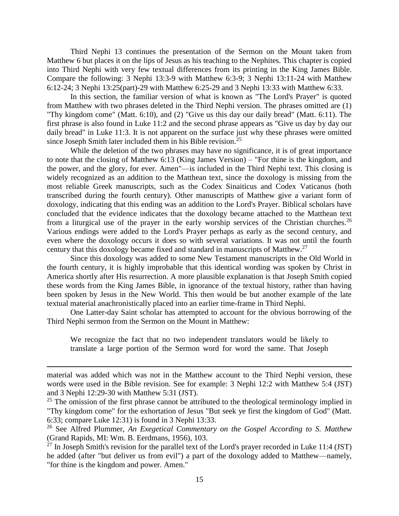Third Nephi 13 continues the presentation of the Sermon on the Mount taken from Matthew 6 but places it on the lips of Jesus as his teaching to the Nephites. This chapter is copied into Third Nephi with very few textual differences from its printing in the King James Bible. Compare the following: 3 Nephi 13:3-9 with Matthew 6:3-9; 3 Nephi 13:11-24 with Matthew 6:12-24; 3 Nephi 13:25(part)-29 with Matthew 6:25-29 and 3 Nephi 13:33 with Matthew 6:33.

In this section, the familiar version of what is known as "The Lord's Prayer" is quoted from Matthew with two phrases deleted in the Third Nephi version. The phrases omitted are (1) "Thy kingdom come" (Matt. 6:10), and (2) "Give us this day our daily bread" (Matt. 6:11). The first phrase is also found in Luke 11:2 and the second phrase appears as "Give us day by day our daily bread" in Luke 11:3. It is not apparent on the surface just why these phrases were omitted since Joseph Smith later included them in his Bible revision.<sup>25</sup>

While the deletion of the two phrases may have no significance, it is of great importance to note that the closing of Matthew 6:13 (King James Version) – "For thine is the kingdom, and the power, and the glory, for ever. Amen"—is included in the Third Nephi text. This closing is widely recognized as an addition to the Matthean text, since the doxology is missing from the most reliable Greek manuscripts, such as the Codex Sinaiticus and Codex Vaticanus (both transcribed during the fourth century). Other manuscripts of Matthew give a variant form of doxology, indicating that this ending was an addition to the Lord's Prayer. Biblical scholars have concluded that the evidence indicates that the doxology became attached to the Matthean text from a liturgical use of the prayer in the early worship services of the Christian churches.<sup>26</sup> Various endings were added to the Lord's Prayer perhaps as early as the second century, and even where the doxology occurs it does so with several variations. It was not until the fourth century that this doxology became fixed and standard in manuscripts of Matthew.<sup>27</sup>

Since this doxology was added to some New Testament manuscripts in the Old World in the fourth century, it is highly improbable that this identical wording was spoken by Christ in America shortly after His resurrection. A more plausible explanation is that Joseph Smith copied these words from the King James Bible, in ignorance of the textual history, rather than having been spoken by Jesus in the New World. This then would be but another example of the late textual material anachronistically placed into an earlier time-frame in Third Nephi.

One Latter-day Saint scholar has attempted to account for the obvious borrowing of the Third Nephi sermon from the Sermon on the Mount in Matthew:

We recognize the fact that no two independent translators would be likely to translate a large portion of the Sermon word for word the same. That Joseph

material was added which was not in the Matthew account to the Third Nephi version, these words were used in the Bible revision. See for example: 3 Nephi 12:2 with Matthew 5:4 (JST) and 3 Nephi 12:29-30 with Matthew 5:31 (JST).

 $25$  The omission of the first phrase cannot be attributed to the theological terminology implied in "Thy kingdom come" for the exhortation of Jesus "But seek ye first the kingdom of God" (Matt. 6:33; compare Luke 12:31) is found in 3 Nephi 13:33.

<sup>26</sup> See Alfred Plummer, *An Exegetical Commentary on the Gospel According to S. Matthew* (Grand Rapids, MI: Wm. B. Eerdmans, 1956), 103.

<sup>&</sup>lt;sup>27</sup> In Joseph Smith's revision for the parallel text of the Lord's prayer recorded in Luke 11:4 (JST) he added (after "but deliver us from evil") a part of the doxology added to Matthew—namely, "for thine is the kingdom and power. Amen."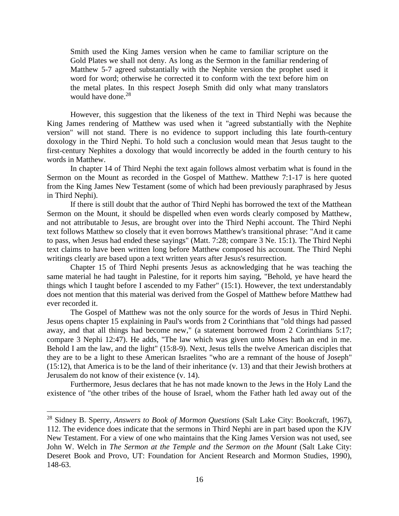Smith used the King James version when he came to familiar scripture on the Gold Plates we shall not deny. As long as the Sermon in the familiar rendering of Matthew 5-7 agreed substantially with the Nephite version the prophet used it word for word; otherwise he corrected it to conform with the text before him on the metal plates. In this respect Joseph Smith did only what many translators would have done. $28$ 

However, this suggestion that the likeness of the text in Third Nephi was because the King James rendering of Matthew was used when it "agreed substantially with the Nephite version" will not stand. There is no evidence to support including this late fourth-century doxology in the Third Nephi. To hold such a conclusion would mean that Jesus taught to the first-century Nephites a doxology that would incorrectly be added in the fourth century to his words in Matthew.

In chapter 14 of Third Nephi the text again follows almost verbatim what is found in the Sermon on the Mount as recorded in the Gospel of Matthew. Matthew 7:1-17 is here quoted from the King James New Testament (some of which had been previously paraphrased by Jesus in Third Nephi).

If there is still doubt that the author of Third Nephi has borrowed the text of the Matthean Sermon on the Mount, it should be dispelled when even words clearly composed by Matthew, and not attributable to Jesus, are brought over into the Third Nephi account. The Third Nephi text follows Matthew so closely that it even borrows Matthew's transitional phrase: "And it came to pass, when Jesus had ended these sayings" (Matt. 7:28; compare 3 Ne. 15:1). The Third Nephi text claims to have been written long before Matthew composed his account. The Third Nephi writings clearly are based upon a text written years after Jesus's resurrection.

Chapter 15 of Third Nephi presents Jesus as acknowledging that he was teaching the same material he had taught in Palestine, for it reports him saying, "Behold, ye have heard the things which I taught before I ascended to my Father" (15:1). However, the text understandably does not mention that this material was derived from the Gospel of Matthew before Matthew had ever recorded it.

The Gospel of Matthew was not the only source for the words of Jesus in Third Nephi. Jesus opens chapter 15 explaining in Paul's words from 2 Corinthians that "old things had passed away, and that all things had become new," (a statement borrowed from 2 Corinthians 5:17; compare 3 Nephi 12:47). He adds, "The law which was given unto Moses hath an end in me. Behold I am the law, and the light" (15:8-9). Next, Jesus tells the twelve American disciples that they are to be a light to these American Israelites "who are a remnant of the house of Joseph" (15:12), that America is to be the land of their inheritance (v. 13) and that their Jewish brothers at Jerusalem do not know of their existence (v. 14).

Furthermore, Jesus declares that he has not made known to the Jews in the Holy Land the existence of "the other tribes of the house of Israel, whom the Father hath led away out of the

<sup>28</sup> Sidney B. Sperry, *Answers to Book of Mormon Questions* (Salt Lake City: Bookcraft, 1967), 112. The evidence does indicate that the sermons in Third Nephi are in part based upon the KJV New Testament. For a view of one who maintains that the King James Version was not used, see John W. Welch in *The Sermon at the Temple and the Sermon on the Mount* (Salt Lake City: Deseret Book and Provo, UT: Foundation for Ancient Research and Mormon Studies, 1990), 148-63.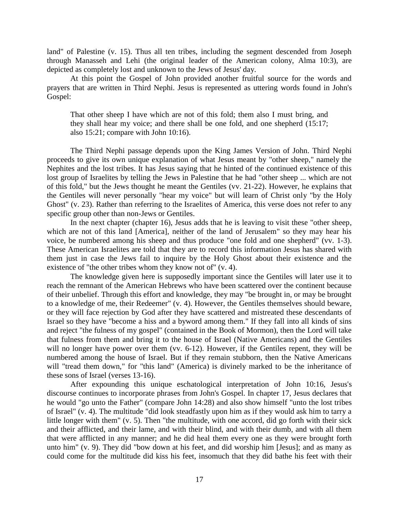land" of Palestine (v. 15). Thus all ten tribes, including the segment descended from Joseph through Manasseh and Lehi (the original leader of the American colony, Alma 10:3), are depicted as completely lost and unknown to the Jews of Jesus' day.

At this point the Gospel of John provided another fruitful source for the words and prayers that are written in Third Nephi. Jesus is represented as uttering words found in John's Gospel:

That other sheep I have which are not of this fold; them also I must bring, and they shall hear my voice; and there shall be one fold, and one shepherd (15:17; also 15:21; compare with John 10:16).

The Third Nephi passage depends upon the King James Version of John. Third Nephi proceeds to give its own unique explanation of what Jesus meant by "other sheep," namely the Nephites and the lost tribes. It has Jesus saying that he hinted of the continued existence of this lost group of Israelites by telling the Jews in Palestine that he had "other sheep ... which are not of this fold," but the Jews thought he meant the Gentiles (vv. 21-22). However, he explains that the Gentiles will never personally "hear my voice" but will learn of Christ only "by the Holy Ghost" (v. 23). Rather than referring to the Israelites of America, this verse does not refer to any specific group other than non-Jews or Gentiles.

In the next chapter (chapter 16), Jesus adds that he is leaving to visit these "other sheep, which are not of this land [America], neither of the land of Jerusalem" so they may hear his voice, be numbered among his sheep and thus produce "one fold and one shepherd" (vv. 1-3). These American Israelites are told that they are to record this information Jesus has shared with them just in case the Jews fail to inquire by the Holy Ghost about their existence and the existence of "the other tribes whom they know not of" (v. 4).

The knowledge given here is supposedly important since the Gentiles will later use it to reach the remnant of the American Hebrews who have been scattered over the continent because of their unbelief. Through this effort and knowledge, they may "be brought in, or may be brought to a knowledge of me, their Redeemer" (v. 4). However, the Gentiles themselves should beware, or they will face rejection by God after they have scattered and mistreated these descendants of Israel so they have "become a hiss and a byword among them." If they fall into all kinds of sins and reject "the fulness of my gospel" (contained in the Book of Mormon), then the Lord will take that fulness from them and bring it to the house of Israel (Native Americans) and the Gentiles will no longer have power over them (vv. 6-12). However, if the Gentiles repent, they will be numbered among the house of Israel. But if they remain stubborn, then the Native Americans will "tread them down," for "this land" (America) is divinely marked to be the inheritance of these sons of Israel (verses 13-16).

After expounding this unique eschatological interpretation of John 10:16, Jesus's discourse continues to incorporate phrases from John's Gospel. In chapter 17, Jesus declares that he would "go unto the Father" (compare John 14:28) and also show himself "unto the lost tribes of Israel" (v. 4). The multitude "did look steadfastly upon him as if they would ask him to tarry a little longer with them" (v. 5). Then "the multitude, with one accord, did go forth with their sick and their afflicted, and their lame, and with their blind, and with their dumb, and with all them that were afflicted in any manner; and he did heal them every one as they were brought forth unto him" (v. 9). They did "bow down at his feet, and did worship him [Jesus]; and as many as could come for the multitude did kiss his feet, insomuch that they did bathe his feet with their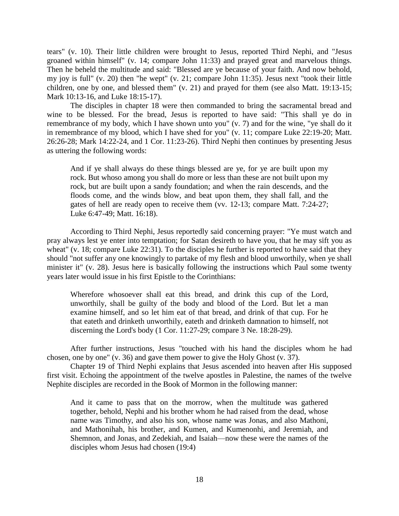tears" (v. 10). Their little children were brought to Jesus, reported Third Nephi, and "Jesus groaned within himself" (v. 14; compare John 11:33) and prayed great and marvelous things. Then he beheld the multitude and said: "Blessed are ye because of your faith. And now behold, my joy is full" (v. 20) then "he wept" (v. 21; compare John 11:35). Jesus next "took their little children, one by one, and blessed them" (v. 21) and prayed for them (see also Matt. 19:13-15; Mark 10:13-16, and Luke 18:15-17).

The disciples in chapter 18 were then commanded to bring the sacramental bread and wine to be blessed. For the bread, Jesus is reported to have said: "This shall ye do in remembrance of my body, which I have shown unto you" (v. 7) and for the wine, "ye shall do it in remembrance of my blood, which I have shed for you" (v. 11; compare Luke 22:19-20; Matt. 26:26-28; Mark 14:22-24, and 1 Cor. 11:23-26). Third Nephi then continues by presenting Jesus as uttering the following words:

And if ye shall always do these things blessed are ye, for ye are built upon my rock. But whoso among you shall do more or less than these are not built upon my rock, but are built upon a sandy foundation; and when the rain descends, and the floods come, and the winds blow, and beat upon them, they shall fall, and the gates of hell are ready open to receive them (vv. 12-13; compare Matt. 7:24-27; Luke 6:47-49; Matt. 16:18).

According to Third Nephi, Jesus reportedly said concerning prayer: "Ye must watch and pray always lest ye enter into temptation; for Satan desireth to have you, that he may sift you as wheat" (v. 18; compare Luke 22:31). To the disciples he further is reported to have said that they should "not suffer any one knowingly to partake of my flesh and blood unworthily, when ye shall minister it" (v. 28). Jesus here is basically following the instructions which Paul some twenty years later would issue in his first Epistle to the Corinthians:

Wherefore whosoever shall eat this bread, and drink this cup of the Lord, unworthily, shall be guilty of the body and blood of the Lord. But let a man examine himself, and so let him eat of that bread, and drink of that cup. For he that eateth and drinketh unworthily, eateth and drinketh damnation to himself, not discerning the Lord's body (1 Cor. 11:27-29; compare 3 Ne. 18:28-29).

After further instructions, Jesus "touched with his hand the disciples whom he had chosen, one by one" (v. 36) and gave them power to give the Holy Ghost (v. 37).

Chapter 19 of Third Nephi explains that Jesus ascended into heaven after His supposed first visit. Echoing the appointment of the twelve apostles in Palestine, the names of the twelve Nephite disciples are recorded in the Book of Mormon in the following manner:

And it came to pass that on the morrow, when the multitude was gathered together, behold, Nephi and his brother whom he had raised from the dead, whose name was Timothy, and also his son, whose name was Jonas, and also Mathoni, and Mathonihah, his brother, and Kumen, and Kumenonhi, and Jeremiah, and Shemnon, and Jonas, and Zedekiah, and Isaiah—now these were the names of the disciples whom Jesus had chosen (19:4)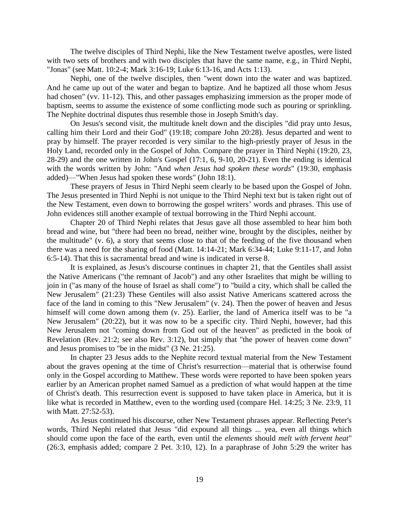The twelve disciples of Third Nephi, like the New Testament twelve apostles, were listed with two sets of brothers and with two disciples that have the same name, e.g., in Third Nephi, "Jonas" (see Matt. 10:2-4; Mark 3:16-19; Luke 6:13-16, and Acts 1:13).

Nephi, one of the twelve disciples, then "went down into the water and was baptized. And he came up out of the water and began to baptize. And he baptized all those whom Jesus had chosen" (vv. 11-12). This, and other passages emphasizing immersion as the proper mode of baptism, seems to assume the existence of some conflicting mode such as pouring or sprinkling. The Nephite doctrinal disputes thus resemble those in Joseph Smith's day.

On Jesus's second visit, the multitude knelt down and the disciples "did pray unto Jesus, calling him their Lord and their God" (19:18; compare John 20:28). Jesus departed and went to pray by himself. The prayer recorded is very similar to the high-priestly prayer of Jesus in the Holy Land, recorded only in the Gospel of John. Compare the prayer in Third Nephi (19:20, 23, 28-29) and the one written in John's Gospel (17:1, 6, 9-10, 20-21). Even the ending is identical with the words written by John: "And *when Jesus had spoken these words*" (19:30, emphasis added)—"When Jesus had spoken these words" (John 18:1).

These prayers of Jesus in Third Nephi seem clearly to be based upon the Gospel of John. The Jesus presented in Third Nephi is not unique to the Third Nephi text but is taken right out of the New Testament, even down to borrowing the gospel writers' words and phrases. This use of John evidences still another example of textual borrowing in the Third Nephi account.

Chapter 20 of Third Nephi relates that Jesus gave all those assembled to hear him both bread and wine, but "there had been no bread, neither wine, brought by the disciples, neither by the multitude" (v. 6), a story that seems close to that of the feeding of the five thousand when there was a need for the sharing of food (Matt. 14:14-21; Mark 6:34-44; Luke 9:11-17, and John 6:5-14). That this is sacramental bread and wine is indicated in verse 8.

It is explained, as Jesus's discourse continues in chapter 21, that the Gentiles shall assist the Native Americans ("the remnant of Jacob") and any other Israelites that might be willing to join in ("as many of the house of Israel as shall come") to "build a city, which shall be called the New Jerusalem" (21:23) These Gentiles will also assist Native Americans scattered across the face of the land in coming to this "New Jerusalem" (v. 24). Then the power of heaven and Jesus himself will come down among them (v. 25). Earlier, the land of America itself was to be "a New Jerusalem" (20:22), but it was now to be a specific city. Third Nephi, however, had this New Jerusalem not "coming down from God out of the heaven" as predicted in the book of Revelation (Rev. 21:2; see also Rev. 3:12), but simply that "the power of heaven come down" and Jesus promises to "be in the midst" (3 Ne. 21:25).

In chapter 23 Jesus adds to the Nephite record textual material from the New Testament about the graves opening at the time of Christ's resurrection—material that is otherwise found only in the Gospel according to Matthew. These words were reported to have been spoken years earlier by an American prophet named Samuel as a prediction of what would happen at the time of Christ's death. This resurrection event is supposed to have taken place in America, but it is like what is recorded in Matthew, even to the wording used (compare Hel. 14:25; 3 Ne. 23:9, 11 with Matt. 27:52-53).

As Jesus continued his discourse, other New Testament phrases appear. Reflecting Peter's words, Third Nephi related that Jesus "did expound all things ... yea, even all things which should come upon the face of the earth, even until the *elements* should *melt with fervent heat*" (26:3, emphasis added; compare 2 Pet. 3:10, 12). In a paraphrase of John 5:29 the writer has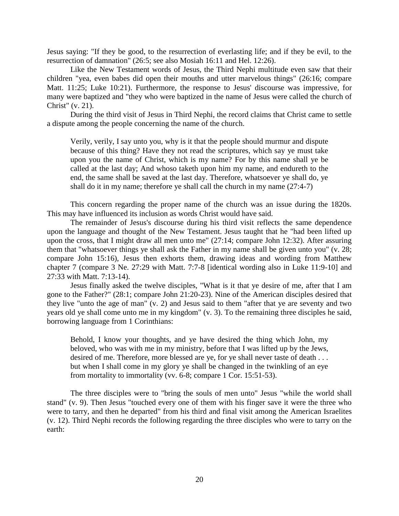Jesus saying: "If they be good, to the resurrection of everlasting life; and if they be evil, to the resurrection of damnation" (26:5; see also Mosiah 16:11 and Hel. 12:26).

Like the New Testament words of Jesus, the Third Nephi multitude even saw that their children "yea, even babes did open their mouths and utter marvelous things" (26:16; compare Matt. 11:25; Luke 10:21). Furthermore, the response to Jesus' discourse was impressive, for many were baptized and "they who were baptized in the name of Jesus were called the church of Christ" (v. 21).

During the third visit of Jesus in Third Nephi, the record claims that Christ came to settle a dispute among the people concerning the name of the church.

Verily, verily, I say unto you, why is it that the people should murmur and dispute because of this thing? Have they not read the scriptures, which say ye must take upon you the name of Christ, which is my name? For by this name shall ye be called at the last day; And whoso taketh upon him my name, and endureth to the end, the same shall be saved at the last day. Therefore, whatsoever ye shall do, ye shall do it in my name; therefore ye shall call the church in my name (27:4-7)

This concern regarding the proper name of the church was an issue during the 1820s. This may have influenced its inclusion as words Christ would have said.

The remainder of Jesus's discourse during his third visit reflects the same dependence upon the language and thought of the New Testament. Jesus taught that he "had been lifted up upon the cross, that I might draw all men unto me" (27:14; compare John 12:32). After assuring them that "whatsoever things ye shall ask the Father in my name shall be given unto you" (v. 28; compare John 15:16), Jesus then exhorts them, drawing ideas and wording from Matthew chapter 7 (compare 3 Ne. 27:29 with Matt. 7:7-8 [identical wording also in Luke 11:9-10] and 27:33 with Matt. 7:13-14).

Jesus finally asked the twelve disciples, "What is it that ye desire of me, after that I am gone to the Father?" (28:1; compare John 21:20-23). Nine of the American disciples desired that they live "unto the age of man"  $(v, 2)$  and Jesus said to them "after that ye are seventy and two years old ye shall come unto me in my kingdom" (v. 3). To the remaining three disciples he said, borrowing language from 1 Corinthians:

Behold, I know your thoughts, and ye have desired the thing which John, my beloved, who was with me in my ministry, before that I was lifted up by the Jews, desired of me. Therefore, more blessed are ye, for ye shall never taste of death . . . but when I shall come in my glory ye shall be changed in the twinkling of an eye from mortality to immortality (vv.  $6-8$ ; compare 1 Cor. 15:51-53).

The three disciples were to "bring the souls of men unto" Jesus "while the world shall stand" (v. 9). Then Jesus "touched every one of them with his finger save it were the three who were to tarry, and then he departed" from his third and final visit among the American Israelites (v. 12). Third Nephi records the following regarding the three disciples who were to tarry on the earth: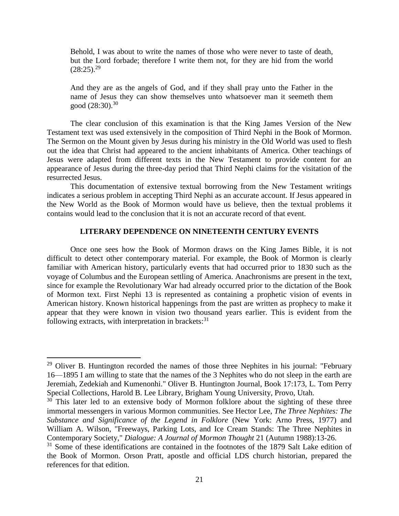Behold, I was about to write the names of those who were never to taste of death, but the Lord forbade; therefore I write them not, for they are hid from the world  $(28:25).^{29}$ 

And they are as the angels of God, and if they shall pray unto the Father in the name of Jesus they can show themselves unto whatsoever man it seemeth them good  $(28:30).^{30}$ 

The clear conclusion of this examination is that the King James Version of the New Testament text was used extensively in the composition of Third Nephi in the Book of Mormon. The Sermon on the Mount given by Jesus during his ministry in the Old World was used to flesh out the idea that Christ had appeared to the ancient inhabitants of America. Other teachings of Jesus were adapted from different texts in the New Testament to provide content for an appearance of Jesus during the three-day period that Third Nephi claims for the visitation of the resurrected Jesus.

This documentation of extensive textual borrowing from the New Testament writings indicates a serious problem in accepting Third Nephi as an accurate account. If Jesus appeared in the New World as the Book of Mormon would have us believe, then the textual problems it contains would lead to the conclusion that it is not an accurate record of that event.

## **LITERARY DEPENDENCE ON NINETEENTH CENTURY EVENTS**

Once one sees how the Book of Mormon draws on the King James Bible, it is not difficult to detect other contemporary material. For example, the Book of Mormon is clearly familiar with American history, particularly events that had occurred prior to 1830 such as the voyage of Columbus and the European settling of America. Anachronisms are present in the text, since for example the Revolutionary War had already occurred prior to the dictation of the Book of Mormon text. First Nephi 13 is represented as containing a prophetic vision of events in American history. Known historical happenings from the past are written as prophecy to make it appear that they were known in vision two thousand years earlier. This is evident from the following extracts, with interpretation in brackets: $31$ 

 $29$  Oliver B. Huntington recorded the names of those three Nephites in his journal: "February 16—1895 I am willing to state that the names of the 3 Nephites who do not sleep in the earth are Jeremiah, Zedekiah and Kumenonhi." Oliver B. Huntington Journal, Book 17:173, L. Tom Perry Special Collections, Harold B. Lee Library, Brigham Young University, Provo, Utah.

 $30$  This later led to an extensive body of Mormon folklore about the sighting of these three immortal messengers in various Mormon communities. See Hector Lee, *The Three Nephites: The Substance and Significance of the Legend in Folklore* (New York: Arno Press, 1977) and William A. Wilson, "Freeways, Parking Lots, and Ice Cream Stands: The Three Nephites in Contemporary Society," *Dialogue: A Journal of Mormon Thought* 21 (Autumn 1988):13-26.

 $31$  Some of these identifications are contained in the footnotes of the 1879 Salt Lake edition of the Book of Mormon. Orson Pratt, apostle and official LDS church historian, prepared the references for that edition.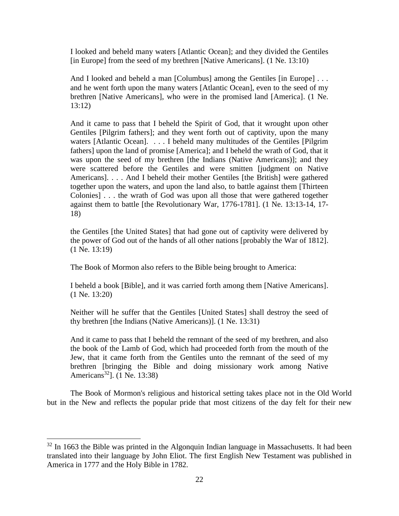I looked and beheld many waters [Atlantic Ocean]; and they divided the Gentiles [in Europe] from the seed of my brethren [Native Americans]. (1 Ne. 13:10)

And I looked and beheld a man [Columbus] among the Gentiles [in Europe] . . . and he went forth upon the many waters [Atlantic Ocean], even to the seed of my brethren [Native Americans], who were in the promised land [America]. (1 Ne. 13:12)

And it came to pass that I beheld the Spirit of God, that it wrought upon other Gentiles [Pilgrim fathers]; and they went forth out of captivity, upon the many waters [Atlantic Ocean]. . . . I beheld many multitudes of the Gentiles [Pilgrim] fathers] upon the land of promise [America]; and I beheld the wrath of God, that it was upon the seed of my brethren [the Indians (Native Americans)]; and they were scattered before the Gentiles and were smitten [judgment on Native Americans]. . . . And I beheld their mother Gentiles [the British] were gathered together upon the waters, and upon the land also, to battle against them [Thirteen Colonies] . . . the wrath of God was upon all those that were gathered together against them to battle [the Revolutionary War, 1776-1781]. (1 Ne. 13:13-14, 17- 18)

the Gentiles [the United States] that had gone out of captivity were delivered by the power of God out of the hands of all other nations [probably the War of 1812]. (1 Ne. 13:19)

The Book of Mormon also refers to the Bible being brought to America:

I beheld a book [Bible], and it was carried forth among them [Native Americans]. (1 Ne. 13:20)

Neither will he suffer that the Gentiles [United States] shall destroy the seed of thy brethren [the Indians (Native Americans)]. (1 Ne. 13:31)

And it came to pass that I beheld the remnant of the seed of my brethren, and also the book of the Lamb of God, which had proceeded forth from the mouth of the Jew, that it came forth from the Gentiles unto the remnant of the seed of my brethren [bringing the Bible and doing missionary work among Native Americans<sup>32</sup>]. (1 Ne. 13:38)

The Book of Mormon's religious and historical setting takes place not in the Old World but in the New and reflects the popular pride that most citizens of the day felt for their new

l

 $32$  In 1663 the Bible was printed in the Algonquin Indian language in Massachusetts. It had been translated into their language by John Eliot. The first English New Testament was published in America in 1777 and the Holy Bible in 1782.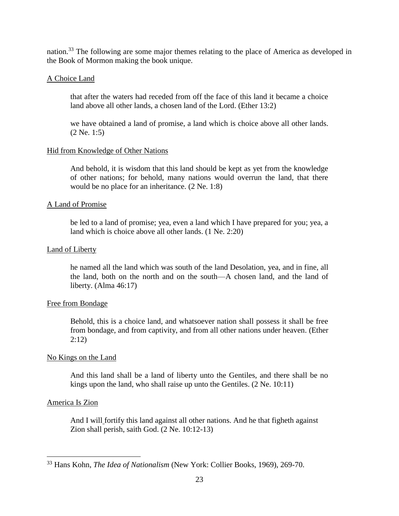nation.<sup>33</sup> The following are some major themes relating to the place of America as developed in the Book of Mormon making the book unique.

# A Choice Land

that after the waters had receded from off the face of this land it became a choice land above all other lands, a chosen land of the Lord. (Ether 13:2)

we have obtained a land of promise, a land which is choice above all other lands. (2 Ne. 1:5)

# Hid from Knowledge of Other Nations

And behold, it is wisdom that this land should be kept as yet from the knowledge of other nations; for behold, many nations would overrun the land, that there would be no place for an inheritance. (2 Ne. 1:8)

# A Land of Promise

be led to a land of promise; yea, even a land which I have prepared for you; yea, a land which is choice above all other lands. (1 Ne. 2:20)

# Land of Liberty

he named all the land which was south of the land Desolation, yea, and in fine, all the land, both on the north and on the south—A chosen land, and the land of liberty. (Alma 46:17)

# Free from Bondage

Behold, this is a choice land, and whatsoever nation shall possess it shall be free from bondage, and from captivity, and from all other nations under heaven. (Ether 2:12)

# No Kings on the Land

And this land shall be a land of liberty unto the Gentiles, and there shall be no kings upon the land, who shall raise up unto the Gentiles. (2 Ne. 10:11)

# America Is Zion

 $\overline{\phantom{a}}$ 

And I will fortify this land against all other nations. And he that figheth against Zion shall perish, saith God. (2 Ne. 10:12-13)

<sup>33</sup> Hans Kohn, *The Idea of Nationalism* (New York: Collier Books, 1969), 269-70.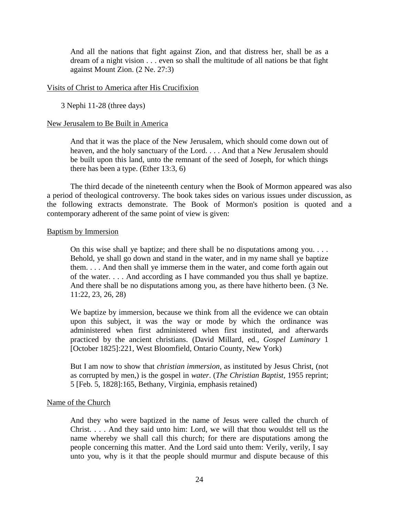And all the nations that fight against Zion, and that distress her, shall be as a dream of a night vision . . . even so shall the multitude of all nations be that fight against Mount Zion. (2 Ne. 27:3)

## Visits of Christ to America after His Crucifixion

3 Nephi 11-28 (three days)

## New Jerusalem to Be Built in America

And that it was the place of the New Jerusalem, which should come down out of heaven, and the holy sanctuary of the Lord. . . . And that a New Jerusalem should be built upon this land, unto the remnant of the seed of Joseph, for which things there has been a type. (Ether 13:3, 6)

The third decade of the nineteenth century when the Book of Mormon appeared was also a period of theological controversy. The book takes sides on various issues under discussion, as the following extracts demonstrate. The Book of Mormon's position is quoted and a contemporary adherent of the same point of view is given:

### Baptism by Immersion

On this wise shall ye baptize; and there shall be no disputations among you. . . . Behold, ye shall go down and stand in the water, and in my name shall ye baptize them. . . . And then shall ye immerse them in the water, and come forth again out of the water. . . . And according as I have commanded you thus shall ye baptize. And there shall be no disputations among you, as there have hitherto been. (3 Ne. 11:22, 23, 26, 28)

We baptize by immersion, because we think from all the evidence we can obtain upon this subject, it was the way or mode by which the ordinance was administered when first administered when first instituted, and afterwards practiced by the ancient christians. (David Millard, ed., *Gospel Luminary* 1 [October 1825]:221, West Bloomfield, Ontario County, New York)

But I am now to show that *christian immersion*, as instituted by Jesus Christ, (not as corrupted by men,) is the gospel in *water*. (*The Christian Baptist*, 1955 reprint; 5 [Feb. 5, 1828]:165, Bethany, Virginia, emphasis retained)

## Name of the Church

And they who were baptized in the name of Jesus were called the church of Christ. . . . And they said unto him: Lord, we will that thou wouldst tell us the name whereby we shall call this church; for there are disputations among the people concerning this matter. And the Lord said unto them: Verily, verily, I say unto you, why is it that the people should murmur and dispute because of this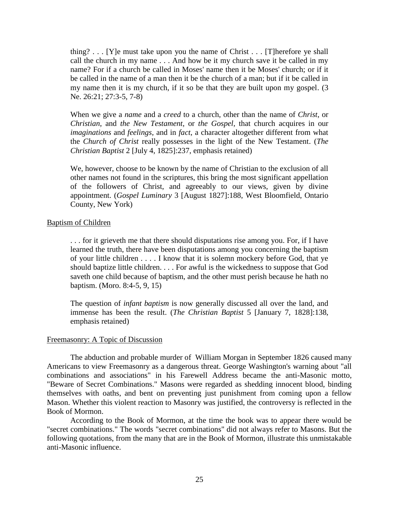thing?  $\ldots$  [Y]e must take upon you the name of Christ  $\ldots$  [T] herefore ye shall call the church in my name . . . And how be it my church save it be called in my name? For if a church be called in Moses' name then it be Moses' church; or if it be called in the name of a man then it be the church of a man; but if it be called in my name then it is my church, if it so be that they are built upon my gospel. (3 Ne. 26:21; 27:3-5, 7-8)

When we give a *name* and a *creed* to a church, other than the name of *Christ*, or *Christian*, and *the New Testament*, or *the Gospel*, that church acquires in our *imaginations* and *feelings*, and in *fact*, a character altogether different from what the *Church of Christ* really possesses in the light of the New Testament. (*The Christian Baptist* 2 [July 4, 1825]:237, emphasis retained)

We, however, choose to be known by the name of Christian to the exclusion of all other names not found in the scriptures, this bring the most significant appellation of the followers of Christ, and agreeably to our views, given by divine appointment. (*Gospel Luminary* 3 [August 1827]:188, West Bloomfield, Ontario County, New York)

### Baptism of Children

. . . for it grieveth me that there should disputations rise among you. For, if I have learned the truth, there have been disputations among you concerning the baptism of your little children . . . . I know that it is solemn mockery before God, that ye should baptize little children. . . . For awful is the wickedness to suppose that God saveth one child because of baptism, and the other must perish because he hath no baptism. (Moro. 8:4-5, 9, 15)

The question of *infant baptism* is now generally discussed all over the land, and immense has been the result. (*The Christian Baptist* 5 [January 7, 1828]:138, emphasis retained)

#### Freemasonry: A Topic of Discussion

The abduction and probable murder of William Morgan in September 1826 caused many Americans to view Freemasonry as a dangerous threat. George Washington's warning about "all combinations and associations" in his Farewell Address became the anti-Masonic motto, "Beware of Secret Combinations." Masons were regarded as shedding innocent blood, binding themselves with oaths, and bent on preventing just punishment from coming upon a fellow Mason. Whether this violent reaction to Masonry was justified, the controversy is reflected in the Book of Mormon.

According to the Book of Mormon, at the time the book was to appear there would be "secret combinations." The words "secret combinations" did not always refer to Masons. But the following quotations, from the many that are in the Book of Mormon, illustrate this unmistakable anti-Masonic influence.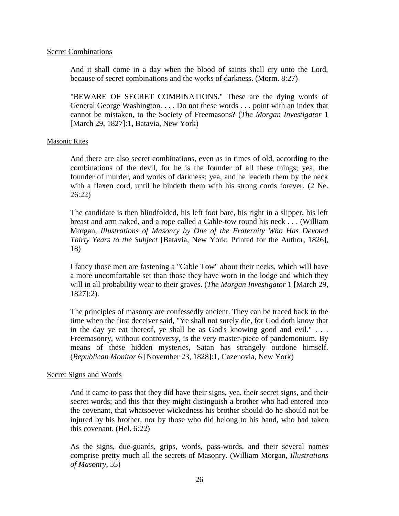## Secret Combinations

And it shall come in a day when the blood of saints shall cry unto the Lord, because of secret combinations and the works of darkness. (Morm. 8:27)

"BEWARE OF SECRET COMBINATIONS." These are the dying words of General George Washington. . . . Do not these words . . . point with an index that cannot be mistaken, to the Society of Freemasons? (*The Morgan Investigator* 1 [March 29, 1827]:1, Batavia, New York)

## Masonic Rites

And there are also secret combinations, even as in times of old, according to the combinations of the devil, for he is the founder of all these things; yea, the founder of murder, and works of darkness; yea, and he leadeth them by the neck with a flaxen cord, until he bindeth them with his strong cords forever. (2 Ne. 26:22)

The candidate is then blindfolded, his left foot bare, his right in a slipper, his left breast and arm naked, and a rope called a Cable-tow round his neck . . . (William Morgan, *Illustrations of Masonry by One of the Fraternity Who Has Devoted Thirty Years to the Subject* [Batavia, New York: Printed for the Author, 1826], 18)

I fancy those men are fastening a "Cable Tow" about their necks, which will have a more uncomfortable set than those they have worn in the lodge and which they will in all probability wear to their graves. (*The Morgan Investigator* 1 [March 29, 1827]:2).

The principles of masonry are confessedly ancient. They can be traced back to the time when the first deceiver said, "Ye shall not surely die, for God doth know that in the day ye eat thereof, ye shall be as God's knowing good and evil." . . . Freemasonry, without controversy, is the very master-piece of pandemonium. By means of these hidden mysteries, Satan has strangely outdone himself. (*Republican Monitor* 6 [November 23, 1828]:1, Cazenovia, New York)

# Secret Signs and Words

And it came to pass that they did have their signs, yea, their secret signs, and their secret words; and this that they might distinguish a brother who had entered into the covenant, that whatsoever wickedness his brother should do he should not be injured by his brother, nor by those who did belong to his band, who had taken this covenant. (Hel. 6:22)

As the signs, due-guards, grips, words, pass-words, and their several names comprise pretty much all the secrets of Masonry. (William Morgan, *Illustrations of Masonry*, 55)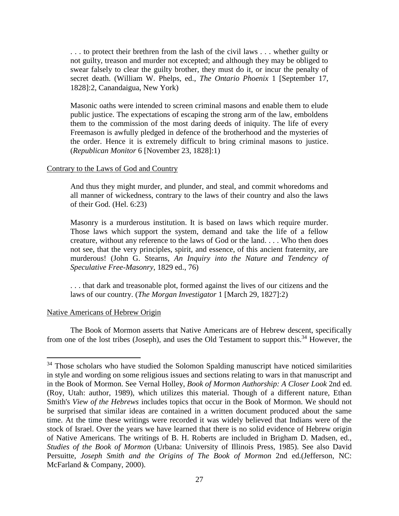. . . to protect their brethren from the lash of the civil laws . . . whether guilty or not guilty, treason and murder not excepted; and although they may be obliged to swear falsely to clear the guilty brother, they must do it, or incur the penalty of secret death. (William W. Phelps, ed., *The Ontario Phoenix* 1 [September 17, 1828]:2, Canandaigua, New York)

Masonic oaths were intended to screen criminal masons and enable them to elude public justice. The expectations of escaping the strong arm of the law, emboldens them to the commission of the most daring deeds of iniquity. The life of every Freemason is awfully pledged in defence of the brotherhood and the mysteries of the order. Hence it is extremely difficult to bring criminal masons to justice. (*Republican Monitor* 6 [November 23, 1828]:1)

## Contrary to the Laws of God and Country

And thus they might murder, and plunder, and steal, and commit whoredoms and all manner of wickedness, contrary to the laws of their country and also the laws of their God. (Hel. 6:23)

Masonry is a murderous institution. It is based on laws which require murder. Those laws which support the system, demand and take the life of a fellow creature, without any reference to the laws of God or the land. . . . Who then does not see, that the very principles, spirit, and essence, of this ancient fraternity, are murderous! (John G. Stearns, *An Inquiry into the Nature and Tendency of Speculative Free-Masonry*, 1829 ed., 76)

. . . that dark and treasonable plot, formed against the lives of our citizens and the laws of our country. (*The Morgan Investigator* 1 [March 29, 1827]:2)

#### Native Americans of Hebrew Origin

 $\overline{a}$ 

The Book of Mormon asserts that Native Americans are of Hebrew descent, specifically from one of the lost tribes (Joseph), and uses the Old Testament to support this.<sup>34</sup> However, the

<sup>&</sup>lt;sup>34</sup> Those scholars who have studied the Solomon Spalding manuscript have noticed similarities in style and wording on some religious issues and sections relating to wars in that manuscript and in the Book of Mormon. See Vernal Holley, *Book of Mormon Authorship: A Closer Look* 2nd ed. (Roy, Utah: author, 1989), which utilizes this material. Though of a different nature, Ethan Smith's *View of the Hebrews* includes topics that occur in the Book of Mormon. We should not be surprised that similar ideas are contained in a written document produced about the same time. At the time these writings were recorded it was widely believed that Indians were of the stock of Israel. Over the years we have learned that there is no solid evidence of Hebrew origin of Native Americans. The writings of B. H. Roberts are included in Brigham D. Madsen, ed., *Studies of the Book of Mormon* (Urbana: University of Illinois Press, 1985). See also David Persuitte, *Joseph Smith and the Origins of The Book of Mormon* 2nd ed.(Jefferson, NC: McFarland & Company, 2000).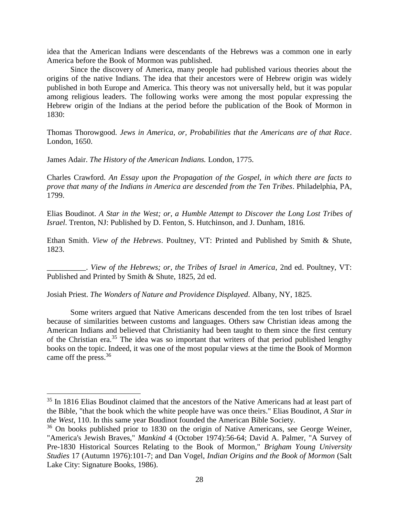idea that the American Indians were descendants of the Hebrews was a common one in early America before the Book of Mormon was published.

Since the discovery of America, many people had published various theories about the origins of the native Indians. The idea that their ancestors were of Hebrew origin was widely published in both Europe and America. This theory was not universally held, but it was popular among religious leaders. The following works were among the most popular expressing the Hebrew origin of the Indians at the period before the publication of the Book of Mormon in 1830:

Thomas Thorowgood. *Jews in America, or, Probabilities that the Americans are of that Race*. London, 1650.

James Adair. *The History of the American Indians.* London, 1775.

 $\overline{a}$ 

Charles Crawford. *An Essay upon the Propagation of the Gospel, in which there are facts to prove that many of the Indians in America are descended from the Ten Tribes*. Philadelphia, PA, 1799.

Elias Boudinot. *A Star in the West; or, a Humble Attempt to Discover the Long Lost Tribes of Israel*. Trenton, NJ: Published by D. Fenton, S. Hutchinson, and J. Dunham, 1816.

Ethan Smith. *View of the Hebrews*. Poultney, VT: Printed and Published by Smith & Shute, 1823.

\_\_\_\_\_\_\_\_\_\_. *View of the Hebrews; or, the Tribes of Israel in America*, 2nd ed. Poultney, VT: Published and Printed by Smith & Shute, 1825, 2d ed.

Josiah Priest. *The Wonders of Nature and Providence Displayed*. Albany, NY, 1825.

Some writers argued that Native Americans descended from the ten lost tribes of Israel because of similarities between customs and languages. Others saw Christian ideas among the American Indians and believed that Christianity had been taught to them since the first century of the Christian era.<sup>35</sup> The idea was so important that writers of that period published lengthy books on the topic. Indeed, it was one of the most popular views at the time the Book of Mormon came off the press.<sup>36</sup>

<sup>&</sup>lt;sup>35</sup> In 1816 Elias Boudinot claimed that the ancestors of the Native Americans had at least part of the Bible, "that the book which the white people have was once theirs." Elias Boudinot, *A Star in the West*, 110. In this same year Boudinot founded the American Bible Society.

<sup>&</sup>lt;sup>36</sup> On books published prior to 1830 on the origin of Native Americans, see George Weiner, "America's Jewish Braves," *Mankind* 4 (October 1974):56-64; David A. Palmer, "A Survey of Pre-1830 Historical Sources Relating to the Book of Mormon," *Brigham Young University Studies* 17 (Autumn 1976):101-7; and Dan Vogel, *Indian Origins and the Book of Mormon* (Salt Lake City: Signature Books, 1986).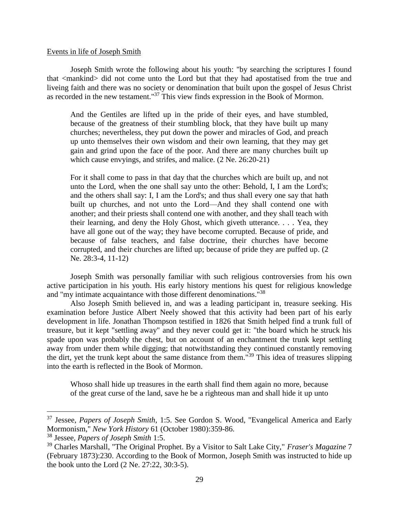### Events in life of Joseph Smith

Joseph Smith wrote the following about his youth: "by searching the scriptures I found that <mankind> did not come unto the Lord but that they had apostatised from the true and liveing faith and there was no society or denomination that built upon the gospel of Jesus Christ as recorded in the new testament."<sup>37</sup> This view finds expression in the Book of Mormon.

And the Gentiles are lifted up in the pride of their eyes, and have stumbled, because of the greatness of their stumbling block, that they have built up many churches; nevertheless, they put down the power and miracles of God, and preach up unto themselves their own wisdom and their own learning, that they may get gain and grind upon the face of the poor. And there are many churches built up which cause envyings, and strifes, and malice. (2 Ne. 26:20-21)

For it shall come to pass in that day that the churches which are built up, and not unto the Lord, when the one shall say unto the other: Behold, I, I am the Lord's; and the others shall say: I, I am the Lord's; and thus shall every one say that hath built up churches, and not unto the Lord—And they shall contend one with another; and their priests shall contend one with another, and they shall teach with their learning, and deny the Holy Ghost, which giveth utterance. . . . Yea, they have all gone out of the way; they have become corrupted. Because of pride, and because of false teachers, and false doctrine, their churches have become corrupted, and their churches are lifted up; because of pride they are puffed up. (2 Ne. 28:3-4, 11-12)

Joseph Smith was personally familiar with such religious controversies from his own active participation in his youth. His early history mentions his quest for religious knowledge and "my intimate acquaintance with those different denominations."<sup>38</sup>

Also Joseph Smith believed in, and was a leading participant in, treasure seeking. His examination before Justice Albert Neely showed that this activity had been part of his early development in life. Jonathan Thompson testified in 1826 that Smith helped find a trunk full of treasure, but it kept "settling away" and they never could get it: "the board which he struck his spade upon was probably the chest, but on account of an enchantment the trunk kept settling away from under them while digging; that notwithstanding they continued constantly removing the dirt, yet the trunk kept about the same distance from them."<sup>39</sup> This idea of treasures slipping into the earth is reflected in the Book of Mormon.

Whoso shall hide up treasures in the earth shall find them again no more, because of the great curse of the land, save he be a righteous man and shall hide it up unto

<sup>37</sup> Jessee, *Papers of Joseph Smith*, 1:5. See Gordon S. Wood, "Evangelical America and Early Mormonism," *New York History* 61 (October 1980):359-86.

<sup>38</sup> Jessee*, Papers of Joseph Smith* 1:5.

<sup>39</sup> Charles Marshall, "The Original Prophet. By a Visitor to Salt Lake City," *Fraser's Magazine* 7 (February 1873):230. According to the Book of Mormon, Joseph Smith was instructed to hide up the book unto the Lord (2 Ne. 27:22, 30:3-5).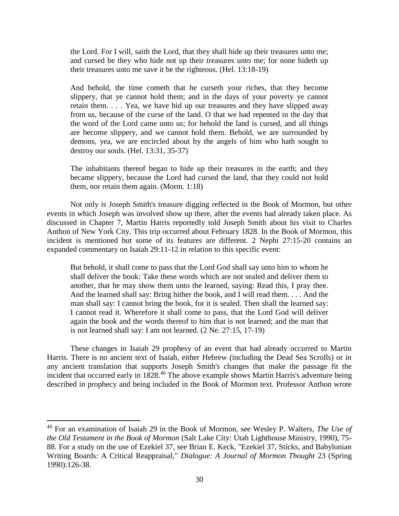the Lord. For I will, saith the Lord, that they shall hide up their treasures unto me; and cursed be they who hide not up their treasures unto me; for none hideth up their treasures unto me save it be the righteous. (Hel. 13:18-19)

And behold, the time cometh that he curseth your riches, that they become slippery, that ye cannot hold them; and in the days of your poverty ye cannot retain them. . . . Yea, we have hid up our treasures and they have slipped away from us, because of the curse of the land. O that we had repented in the day that the word of the Lord came unto us; for behold the land is cursed, and all things are become slippery, and we cannot hold them. Behold, we are surrounded by demons, yea, we are encircled about by the angels of him who hath sought to destroy our souls. (Hel. 13:31, 35-37)

The inhabitants thereof began to hide up their treasures in the earth; and they became slippery, because the Lord had cursed the land, that they could not hold them, nor retain them again. (Morm. 1:18)

Not only is Joseph Smith's treasure digging reflected in the Book of Mormon, but other events in which Joseph was involved show up there, after the events had already taken place. As discussed in Chapter 7, Martin Harris reportedly told Joseph Smith about his visit to Charles Anthon of New York City. This trip occurred about February 1828. In the Book of Mormon, this incident is mentioned but some of its features are different. 2 Nephi 27:15-20 contains an expanded commentary on Isaiah 29:11-12 in relation to this specific event:

But behold, it shall come to pass that the Lord God shall say unto him to whom he shall deliver the book: Take these words which are not sealed and deliver them to another, that he may show them unto the learned, saying: Read this, I pray thee. And the learned shall say: Bring hither the book, and I will read them. . . . And the man shall say: I cannot bring the book, for it is sealed. Then shall the learned say: I cannot read it. Wherefore it shall come to pass, that the Lord God will deliver again the book and the words thereof to him that is not learned; and the man that is not learned shall say: I am not learned. (2 Ne. 27:15, 17-19)

These changes in Isaiah 29 prophesy of an event that had already occurred to Martin Harris. There is no ancient text of Isaiah, either Hebrew (including the Dead Sea Scrolls) or in any ancient translation that supports Joseph Smith's changes that make the passage fit the incident that occurred early in 1828.<sup>40</sup> The above example shows Martin Harris's adventure being described in prophecy and being included in the Book of Mormon text. Professor Anthon wrote

<sup>40</sup> For an examination of Isaiah 29 in the Book of Mormon, see Wesley P. Walters, *The Use of the Old Testament in the Book of Mormon* (Salt Lake City: Utah Lighthouse Ministry, 1990), 75- 88. For a study on the use of Ezekiel 37, see Brian E. Keck, "Ezekiel 37, Sticks, and Babylonian Writing Boards: A Critical Reappraisal," *Dialogue: A Journal of Mormon Thought* 23 (Spring 1990):126-38.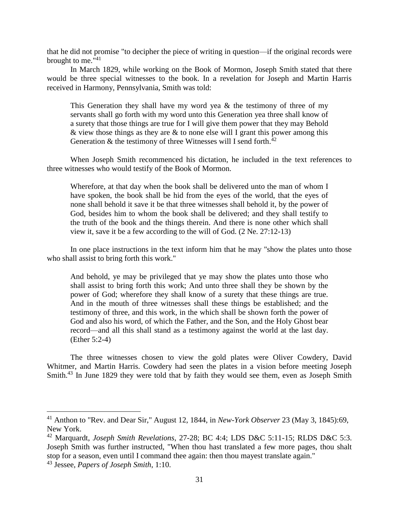that he did not promise "to decipher the piece of writing in question—if the original records were brought to me."<sup>41</sup>

In March 1829, while working on the Book of Mormon, Joseph Smith stated that there would be three special witnesses to the book. In a revelation for Joseph and Martin Harris received in Harmony, Pennsylvania, Smith was told:

This Generation they shall have my word yea  $\&$  the testimony of three of my servants shall go forth with my word unto this Generation yea three shall know of a surety that those things are true for I will give them power that they may Behold  $\&$  view those things as they are  $\&$  to none else will I grant this power among this Generation  $\&$  the testimony of three Witnesses will I send forth.<sup>42</sup>

When Joseph Smith recommenced his dictation, he included in the text references to three witnesses who would testify of the Book of Mormon.

Wherefore, at that day when the book shall be delivered unto the man of whom I have spoken, the book shall be hid from the eyes of the world, that the eyes of none shall behold it save it be that three witnesses shall behold it, by the power of God, besides him to whom the book shall be delivered; and they shall testify to the truth of the book and the things therein. And there is none other which shall view it, save it be a few according to the will of God. (2 Ne. 27:12-13)

In one place instructions in the text inform him that he may "show the plates unto those who shall assist to bring forth this work."

And behold, ye may be privileged that ye may show the plates unto those who shall assist to bring forth this work; And unto three shall they be shown by the power of God; wherefore they shall know of a surety that these things are true. And in the mouth of three witnesses shall these things be established; and the testimony of three, and this work, in the which shall be shown forth the power of God and also his word, of which the Father, and the Son, and the Holy Ghost bear record—and all this shall stand as a testimony against the world at the last day. (Ether 5:2-4)

The three witnesses chosen to view the gold plates were Oliver Cowdery, David Whitmer, and Martin Harris. Cowdery had seen the plates in a vision before meeting Joseph Smith.<sup>43</sup> In June 1829 they were told that by faith they would see them, even as Joseph Smith

<sup>41</sup> Anthon to "Rev. and Dear Sir," August 12, 1844, in *New-York Observer* 23 (May 3, 1845):69, New York.

<sup>42</sup> Marquardt, *Joseph Smith Revelations*, 27-28; BC 4:4; LDS D&C 5:11-15; RLDS D&C 5:3. Joseph Smith was further instructed, "When thou hast translated a few more pages, thou shalt stop for a season, even until I command thee again: then thou mayest translate again."

<sup>43</sup> Jessee, *Papers of Joseph Smith*, 1:10.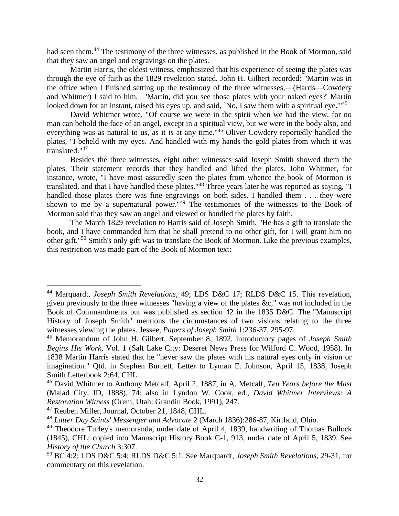had seen them.<sup>44</sup> The testimony of the three witnesses, as published in the Book of Mormon, said that they saw an angel and engravings on the plates.

Martin Harris, the oldest witness, emphasized that his experience of seeing the plates was through the eye of faith as the 1829 revelation stated. John H. Gilbert recorded: "Martin was in the office when I finished setting up the testimony of the three witnesses,—(Harris—Cowdery and Whitmer) I said to him,—'Martin, did you see those plates with your naked eyes?' Martin looked down for an instant, raised his eyes up, and said, 'No, I saw them with a spiritual eye."<sup>45</sup>

David Whitmer wrote, "Of course we were in the spirit when we had the view, for no man can behold the face of an angel, except in a spiritual view, but we were in the body also, and everything was as natural to us, as it is at any time."<sup>46</sup> Oliver Cowdery reportedly handled the plates, "I beheld with my eyes. And handled with my hands the gold plates from which it was translated."<sup>47</sup>

Besides the three witnesses, eight other witnesses said Joseph Smith showed them the plates. Their statement records that they handled and lifted the plates. John Whitmer, for instance, wrote, "I have most assuredly seen the plates from whence the book of Mormon is translated, and that I have handled these plates."<sup>48</sup> Three years later he was reported as saying, "I handled those plates there was fine engravings on both sides. I handled them . . . they were shown to me by a supernatural power."<sup>49</sup> The testimonies of the witnesses to the Book of Mormon said that they saw an angel and viewed or handled the plates by faith.

The March 1829 revelation to Harris said of Joseph Smith, "He has a gift to translate the book, and I have commanded him that he shall pretend to no other gift, for I will grant him no other gift."<sup>50</sup> Smith's only gift was to translate the Book of Mormon. Like the previous examples, this restriction was made part of the Book of Mormon text:

<sup>44</sup> Marquardt, *Joseph Smith Revelations*, 49; LDS D&C 17; RLDS D&C 15. This revelation, given previously to the three witnesses "having a view of the plates &c," was not included in the Book of Commandments but was published as section 42 in the 1835 D&C. The "Manuscript History of Joseph Smith" mentions the circumstances of two visions relating to the three witnesses viewing the plates. Jessee, *Papers of Joseph Smith* 1:236-37, 295-97.

<sup>45</sup> Memorandum of John H. Gilbert, September 8, 1892, introductory pages of *Joseph Smith Begins His Work*, Vol. 1 (Salt Lake City: Deseret News Press for Wilford C. Wood, 1958). In 1838 Martin Harris stated that he "never saw the plates with his natural eyes only in vision or imagination." Qtd. in Stephen Burnett, Letter to Lyman E. Johnson, April 15, 1838, Joseph Smith Letterbook 2:64, CHL.

<sup>46</sup> David Whitmer to Anthony Metcalf, April 2, 1887, in A. Metcalf, *Ten Years before the Mast* (Malad City, ID, 1888), 74; also in Lyndon W. Cook, ed., *David Whitmer Interviews: A Restoration Witness* (Orem, Utah: Grandin Book, 1991), 247.

<sup>47</sup> Reuben Miller, Journal, October 21, 1848, CHL.

<sup>48</sup> *Latter Day Saints' Messenger and Advocate* 2 (March 1836):286-87, Kirtland, Ohio.

<sup>&</sup>lt;sup>49</sup> Theodore Turley's memoranda, under date of April 4, 1839, handwriting of Thomas Bullock (1845), CHL; copied into Manuscript History Book C-1, 913, under date of April 5, 1839. See *History of the Church* 3:307.

<sup>50</sup> BC 4:2; LDS D&C 5:4; RLDS D&C 5:1. See Marquardt, *Joseph Smith Revelations*, 29-31, for commentary on this revelation.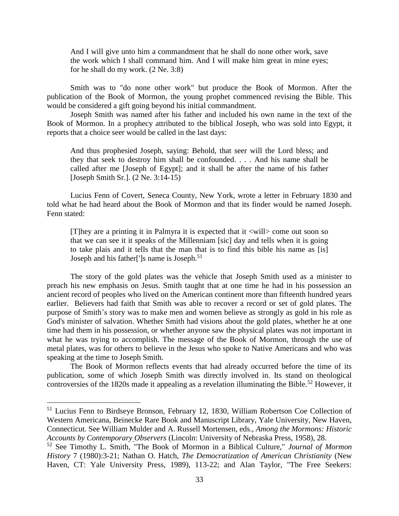And I will give unto him a commandment that he shall do none other work, save the work which I shall command him. And I will make him great in mine eyes; for he shall do my work. (2 Ne. 3:8)

Smith was to "do none other work" but produce the Book of Mormon. After the publication of the Book of Mormon, the young prophet commenced revising the Bible. This would be considered a gift going beyond his initial commandment.

Joseph Smith was named after his father and included his own name in the text of the Book of Mormon. In a prophecy attributed to the biblical Joseph, who was sold into Egypt, it reports that a choice seer would be called in the last days:

And thus prophesied Joseph, saying: Behold, that seer will the Lord bless; and they that seek to destroy him shall be confounded. . . . And his name shall be called after me [Joseph of Egypt]; and it shall be after the name of his father [Joseph Smith Sr.]. (2 Ne. 3:14-15)

Lucius Fenn of Covert, Seneca County, New York, wrote a letter in February 1830 and told what he had heard about the Book of Mormon and that its finder would be named Joseph. Fenn stated:

[T]hey are a printing it in Palmyra it is expected that it <will> come out soon so that we can see it it speaks of the Millenniam [sic] day and tells when it is going to take plais and it tells that the man that is to find this bible his name as [is] Joseph and his father<sup>[']</sup>s name is Joseph.<sup>51</sup>

The story of the gold plates was the vehicle that Joseph Smith used as a minister to preach his new emphasis on Jesus. Smith taught that at one time he had in his possession an ancient record of peoples who lived on the American continent more than fifteenth hundred years earlier. Believers had faith that Smith was able to recover a record or set of gold plates. The purpose of Smith's story was to make men and women believe as strongly as gold in his role as God's minister of salvation. Whether Smith had visions about the gold plates, whether he at one time had them in his possession, or whether anyone saw the physical plates was not important in what he was trying to accomplish. The message of the Book of Mormon, through the use of metal plates, was for others to believe in the Jesus who spoke to Native Americans and who was speaking at the time to Joseph Smith.

The Book of Mormon reflects events that had already occurred before the time of its publication, some of which Joseph Smith was directly involved in. Its stand on theological controversies of the 1820s made it appealing as a revelation illuminating the Bible.<sup>52</sup> However, it

<sup>&</sup>lt;sup>51</sup> Lucius Fenn to Birdseye Bronson, February 12, 1830, William Robertson Coe Collection of Western Americana, Beinecke Rare Book and Manuscript Library, Yale University, New Haven, Connecticut. See William Mulder and A. Russell Mortensen, eds., *Among the Mormons: Historic Accounts by Contemporary Observers* (Lincoln: University of Nebraska Press, 1958), 28.

<sup>52</sup> See Timothy L. Smith, "The Book of Mormon in a Biblical Culture," *Journal of Mormon History* 7 (1980):3-21; Nathan O. Hatch, *The Democratization of American Christianity* (New Haven, CT: Yale University Press, 1989), 113-22; and Alan Taylor, "The Free Seekers: